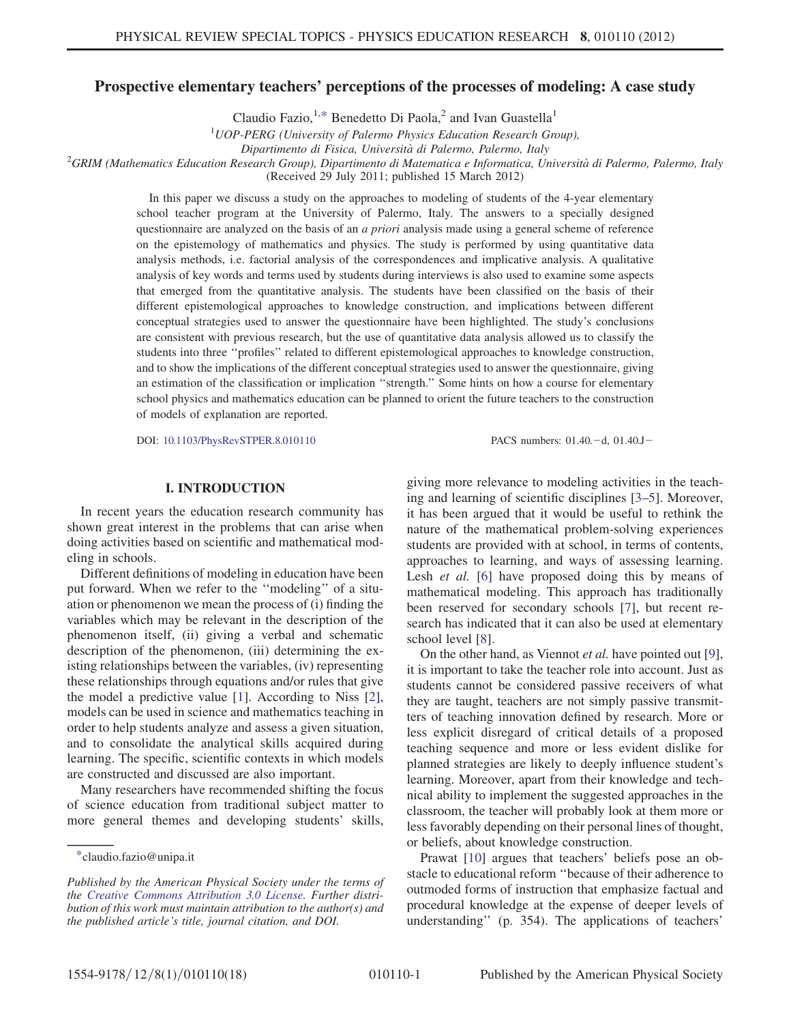# <span id="page-0-1"></span>Prospective elementary teachers' perceptions of the processes of modeling: A case study

Claudio Fazio, <sup>1[,\\*](#page-0-0)</sup> Benedetto Di Paola,<sup>2</sup> and Ivan Guastella<sup>1</sup>

 $1 UOP-PERG$  (University of Palermo Physics Education Research Group),

Dipartimento di Fisica, Università di Palermo, Palermo, Italy<br><sup>2</sup>GRIM (Mathematics Education Research Group), Dipartimento di Matematica e Informatica, Università di Palermo, Palermo, Italy

(Received 29 July 2011; published 15 March 2012)

In this paper we discuss a study on the approaches to modeling of students of the 4-year elementary school teacher program at the University of Palermo, Italy. The answers to a specially designed questionnaire are analyzed on the basis of an *a priori* analysis made using a general scheme of reference on the epistemology of mathematics and physics. The study is performed by using quantitative data analysis methods, i.e. factorial analysis of the correspondences and implicative analysis. A qualitative analysis of key words and terms used by students during interviews is also used to examine some aspects that emerged from the quantitative analysis. The students have been classified on the basis of their different epistemological approaches to knowledge construction, and implications between different conceptual strategies used to answer the questionnaire have been highlighted. The study's conclusions are consistent with previous research, but the use of quantitative data analysis allowed us to classify the students into three ''profiles'' related to different epistemological approaches to knowledge construction, and to show the implications of the different conceptual strategies used to answer the questionnaire, giving an estimation of the classification or implication ''strength.'' Some hints on how a course for elementary school physics and mathematics education can be planned to orient the future teachers to the construction of models of explanation are reported.

DOI: [10.1103/PhysRevSTPER.8.010110](http://dx.doi.org/10.1103/PhysRevSTPER.8.010110) PACS numbers: 01.40.-d, 01.40.J-

# I. INTRODUCTION

In recent years the education research community has shown great interest in the problems that can arise when doing activities based on scientific and mathematical modeling in schools.

Different definitions of modeling in education have been put forward. When we refer to the ''modeling'' of a situation or phenomenon we mean the process of (i) finding the variables which may be relevant in the description of the phenomenon itself, (ii) giving a verbal and schematic description of the phenomenon, (iii) determining the existing relationships between the variables, (iv) representing these relationships through equations and/or rules that give the model a predictive value [[1\]](#page-16-0). According to Niss [[2\]](#page-16-1), models can be used in science and mathematics teaching in order to help students analyze and assess a given situation, and to consolidate the analytical skills acquired during learning. The specific, scientific contexts in which models are constructed and discussed are also important.

Many researchers have recommended shifting the focus of science education from traditional subject matter to more general themes and developing students' skills, giving more relevance to modeling activities in the teaching and learning of scientific disciplines [[3](#page-16-2)[–5](#page-16-3)]. Moreover, it has been argued that it would be useful to rethink the nature of the mathematical problem-solving experiences students are provided with at school, in terms of contents, approaches to learning, and ways of assessing learning. Lesh *et al.* [[6\]](#page-16-4) have proposed doing this by means of mathematical modeling. This approach has traditionally been reserved for secondary schools [[7\]](#page-16-5), but recent research has indicated that it can also be used at elementary school level [[8](#page-16-6)].

On the other hand, as Viennot et al. have pointed out [[9\]](#page-16-7), it is important to take the teacher role into account. Just as students cannot be considered passive receivers of what they are taught, teachers are not simply passive transmitters of teaching innovation defined by research. More or less explicit disregard of critical details of a proposed teaching sequence and more or less evident dislike for planned strategies are likely to deeply influence student's learning. Moreover, apart from their knowledge and technical ability to implement the suggested approaches in the classroom, the teacher will probably look at them more or less favorably depending on their personal lines of thought, or beliefs, about knowledge construction.

Prawat [\[10\]](#page-16-8) argues that teachers' beliefs pose an obstacle to educational reform ''because of their adherence to outmoded forms of instruction that emphasize factual and procedural knowledge at the expense of deeper levels of understanding'' (p. 354). The applications of teachers'

<span id="page-0-0"></span>[<sup>\\*</sup>c](#page-0-1)laudio.fazio@unipa.it

Published by the American Physical Society under the terms of the [Creative Commons Attribution 3.0 License.](http://creativecommons.org/licenses/by/3.0/) Further distribution of this work must maintain attribution to the author(s) and the published article's title, journal citation, and DOI.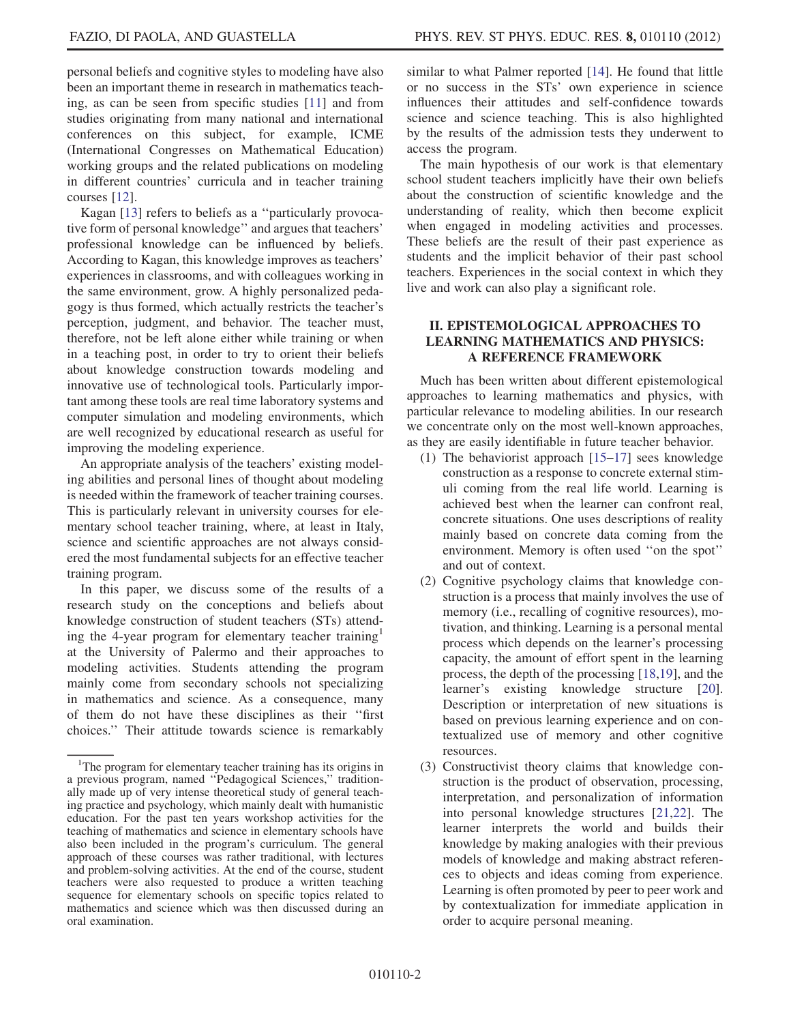personal beliefs and cognitive styles to modeling have also been an important theme in research in mathematics teaching, as can be seen from specific studies [\[11](#page-16-9)] and from studies originating from many national and international conferences on this subject, for example, ICME (International Congresses on Mathematical Education) working groups and the related publications on modeling in different countries' curricula and in teacher training courses [[12](#page-16-10)].

Kagan [\[13\]](#page-16-11) refers to beliefs as a ''particularly provocative form of personal knowledge'' and argues that teachers' professional knowledge can be influenced by beliefs. According to Kagan, this knowledge improves as teachers' experiences in classrooms, and with colleagues working in the same environment, grow. A highly personalized pedagogy is thus formed, which actually restricts the teacher's perception, judgment, and behavior. The teacher must, therefore, not be left alone either while training or when in a teaching post, in order to try to orient their beliefs about knowledge construction towards modeling and innovative use of technological tools. Particularly important among these tools are real time laboratory systems and computer simulation and modeling environments, which are well recognized by educational research as useful for improving the modeling experience.

An appropriate analysis of the teachers' existing modeling abilities and personal lines of thought about modeling is needed within the framework of teacher training courses. This is particularly relevant in university courses for elementary school teacher training, where, at least in Italy, science and scientific approaches are not always considered the most fundamental subjects for an effective teacher training program.

In this paper, we discuss some of the results of a research study on the conceptions and beliefs about knowledge construction of student teachers (STs) attending the 4-year program for elementary teacher training $<sup>1</sup>$ </sup> at the University of Palermo and their approaches to modeling activities. Students attending the program mainly come from secondary schools not specializing in mathematics and science. As a consequence, many of them do not have these disciplines as their ''first choices.'' Their attitude towards science is remarkably

similar to what Palmer reported [[14](#page-16-12)]. He found that little or no success in the STs' own experience in science influences their attitudes and self-confidence towards science and science teaching. This is also highlighted by the results of the admission tests they underwent to access the program.

The main hypothesis of our work is that elementary school student teachers implicitly have their own beliefs about the construction of scientific knowledge and the understanding of reality, which then become explicit when engaged in modeling activities and processes. These beliefs are the result of their past experience as students and the implicit behavior of their past school teachers. Experiences in the social context in which they live and work can also play a significant role.

# II. EPISTEMOLOGICAL APPROACHES TO LEARNING MATHEMATICS AND PHYSICS: A REFERENCE FRAMEWORK

Much has been written about different epistemological approaches to learning mathematics and physics, with particular relevance to modeling abilities. In our research we concentrate only on the most well-known approaches, as they are easily identifiable in future teacher behavior.

- (1) The behaviorist approach [\[15–](#page-16-13)[17\]](#page-16-14) sees knowledge construction as a response to concrete external stimuli coming from the real life world. Learning is achieved best when the learner can confront real, concrete situations. One uses descriptions of reality mainly based on concrete data coming from the environment. Memory is often used ''on the spot'' and out of context.
- (2) Cognitive psychology claims that knowledge construction is a process that mainly involves the use of memory (i.e., recalling of cognitive resources), motivation, and thinking. Learning is a personal mental process which depends on the learner's processing capacity, the amount of effort spent in the learning process, the depth of the processing [[18,](#page-16-15)[19](#page-16-16)], and the learner's existing knowledge structure [[20\]](#page-16-17). Description or interpretation of new situations is based on previous learning experience and on contextualized use of memory and other cognitive resources.
- (3) Constructivist theory claims that knowledge construction is the product of observation, processing, interpretation, and personalization of information into personal knowledge structures [\[21,](#page-16-18)[22\]](#page-16-19). The learner interprets the world and builds their knowledge by making analogies with their previous models of knowledge and making abstract references to objects and ideas coming from experience. Learning is often promoted by peer to peer work and by contextualization for immediate application in order to acquire personal meaning.

<sup>&</sup>lt;sup>1</sup>The program for elementary teacher training has its origins in a previous program, named ''Pedagogical Sciences,'' traditionally made up of very intense theoretical study of general teaching practice and psychology, which mainly dealt with humanistic education. For the past ten years workshop activities for the teaching of mathematics and science in elementary schools have also been included in the program's curriculum. The general approach of these courses was rather traditional, with lectures and problem-solving activities. At the end of the course, student teachers were also requested to produce a written teaching sequence for elementary schools on specific topics related to mathematics and science which was then discussed during an oral examination.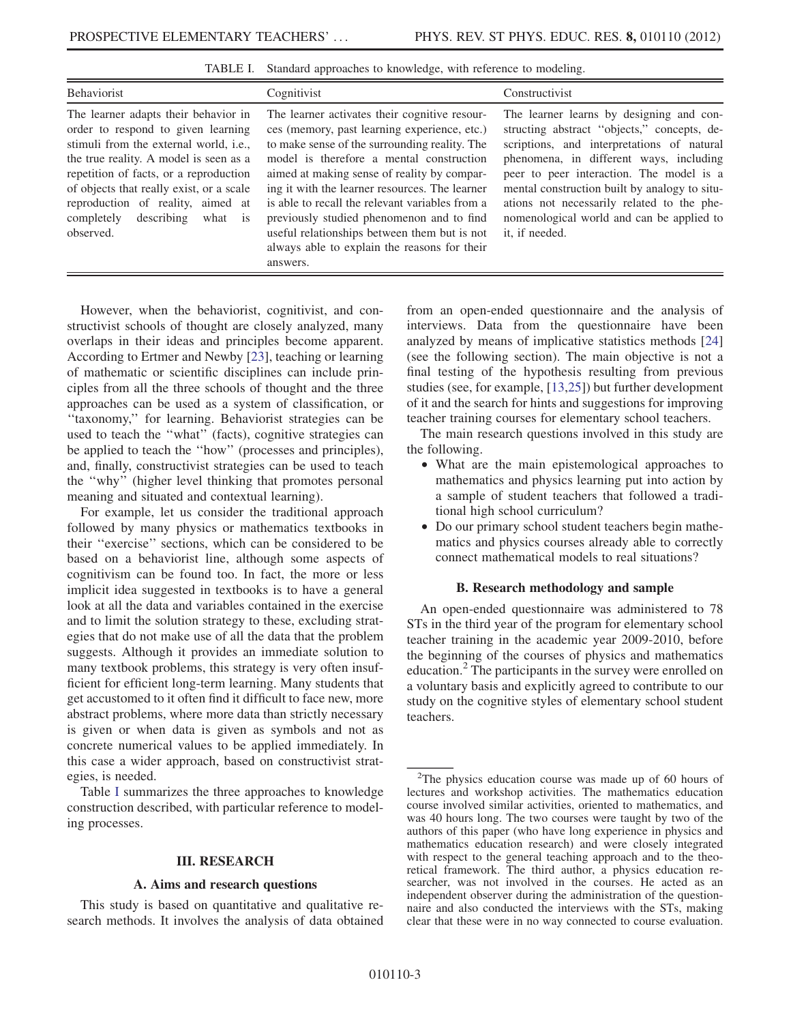<span id="page-2-0"></span>

|                                                                                                                                                                                                                                                                                                                                                       | million is summary approaches to millionege, while reference to moderning.                                                                                                                                                                                                                                                                                                                                                                                                                              |                                                                                                                                                                                                                                                                                                                                                                                            |  |
|-------------------------------------------------------------------------------------------------------------------------------------------------------------------------------------------------------------------------------------------------------------------------------------------------------------------------------------------------------|---------------------------------------------------------------------------------------------------------------------------------------------------------------------------------------------------------------------------------------------------------------------------------------------------------------------------------------------------------------------------------------------------------------------------------------------------------------------------------------------------------|--------------------------------------------------------------------------------------------------------------------------------------------------------------------------------------------------------------------------------------------------------------------------------------------------------------------------------------------------------------------------------------------|--|
| Behaviorist                                                                                                                                                                                                                                                                                                                                           | Cognitivist                                                                                                                                                                                                                                                                                                                                                                                                                                                                                             | Constructivist                                                                                                                                                                                                                                                                                                                                                                             |  |
| The learner adapts their behavior in<br>order to respond to given learning<br>stimuli from the external world, <i>i.e.</i> ,<br>the true reality. A model is seen as a<br>repetition of facts, or a reproduction<br>of objects that really exist, or a scale<br>reproduction of reality, aimed at<br>completely<br>describing<br>what is<br>observed. | The learner activates their cognitive resour-<br>ces (memory, past learning experience, etc.)<br>to make sense of the surrounding reality. The<br>model is therefore a mental construction<br>aimed at making sense of reality by compar-<br>ing it with the learner resources. The learner<br>is able to recall the relevant variables from a<br>previously studied phenomenon and to find<br>useful relationships between them but is not<br>always able to explain the reasons for their<br>answers. | The learner learns by designing and con-<br>structing abstract "objects," concepts, de-<br>scriptions, and interpretations of natural<br>phenomena, in different ways, including<br>peer to peer interaction. The model is a<br>mental construction built by analogy to situ-<br>ations not necessarily related to the phe-<br>nomenological world and can be applied to<br>it, if needed. |  |

TABLE I. Standard approaches to knowledge, with reference to modeling.

However, when the behaviorist, cognitivist, and constructivist schools of thought are closely analyzed, many overlaps in their ideas and principles become apparent. According to Ertmer and Newby [\[23\]](#page-16-20), teaching or learning of mathematic or scientific disciplines can include principles from all the three schools of thought and the three approaches can be used as a system of classification, or ''taxonomy,'' for learning. Behaviorist strategies can be used to teach the ''what'' (facts), cognitive strategies can be applied to teach the ''how'' (processes and principles), and, finally, constructivist strategies can be used to teach the ''why'' (higher level thinking that promotes personal meaning and situated and contextual learning).

For example, let us consider the traditional approach followed by many physics or mathematics textbooks in their ''exercise'' sections, which can be considered to be based on a behaviorist line, although some aspects of cognitivism can be found too. In fact, the more or less implicit idea suggested in textbooks is to have a general look at all the data and variables contained in the exercise and to limit the solution strategy to these, excluding strategies that do not make use of all the data that the problem suggests. Although it provides an immediate solution to many textbook problems, this strategy is very often insufficient for efficient long-term learning. Many students that get accustomed to it often find it difficult to face new, more abstract problems, where more data than strictly necessary is given or when data is given as symbols and not as concrete numerical values to be applied immediately. In this case a wider approach, based on constructivist strategies, is needed.

Table [I](#page-2-0) summarizes the three approaches to knowledge construction described, with particular reference to modeling processes.

### III. RESEARCH

#### A. Aims and research questions

This study is based on quantitative and qualitative research methods. It involves the analysis of data obtained from an open-ended questionnaire and the analysis of interviews. Data from the questionnaire have been analyzed by means of implicative statistics methods [\[24\]](#page-16-21) (see the following section). The main objective is not a final testing of the hypothesis resulting from previous studies (see, for example, [[13](#page-16-11),[25](#page-16-22)]) but further development of it and the search for hints and suggestions for improving teacher training courses for elementary school teachers.

The main research questions involved in this study are the following.

- What are the main epistemological approaches to mathematics and physics learning put into action by a sample of student teachers that followed a traditional high school curriculum?
- Do our primary school student teachers begin mathematics and physics courses already able to correctly connect mathematical models to real situations?

#### B. Research methodology and sample

An open-ended questionnaire was administered to 78 STs in the third year of the program for elementary school teacher training in the academic year 2009-2010, before the beginning of the courses of physics and mathematics education.<sup>2</sup> The participants in the survey were enrolled on a voluntary basis and explicitly agreed to contribute to our study on the cognitive styles of elementary school student teachers.

 $2$ The physics education course was made up of 60 hours of lectures and workshop activities. The mathematics education course involved similar activities, oriented to mathematics, and was 40 hours long. The two courses were taught by two of the authors of this paper (who have long experience in physics and mathematics education research) and were closely integrated with respect to the general teaching approach and to the theoretical framework. The third author, a physics education researcher, was not involved in the courses. He acted as an independent observer during the administration of the questionnaire and also conducted the interviews with the STs, making clear that these were in no way connected to course evaluation.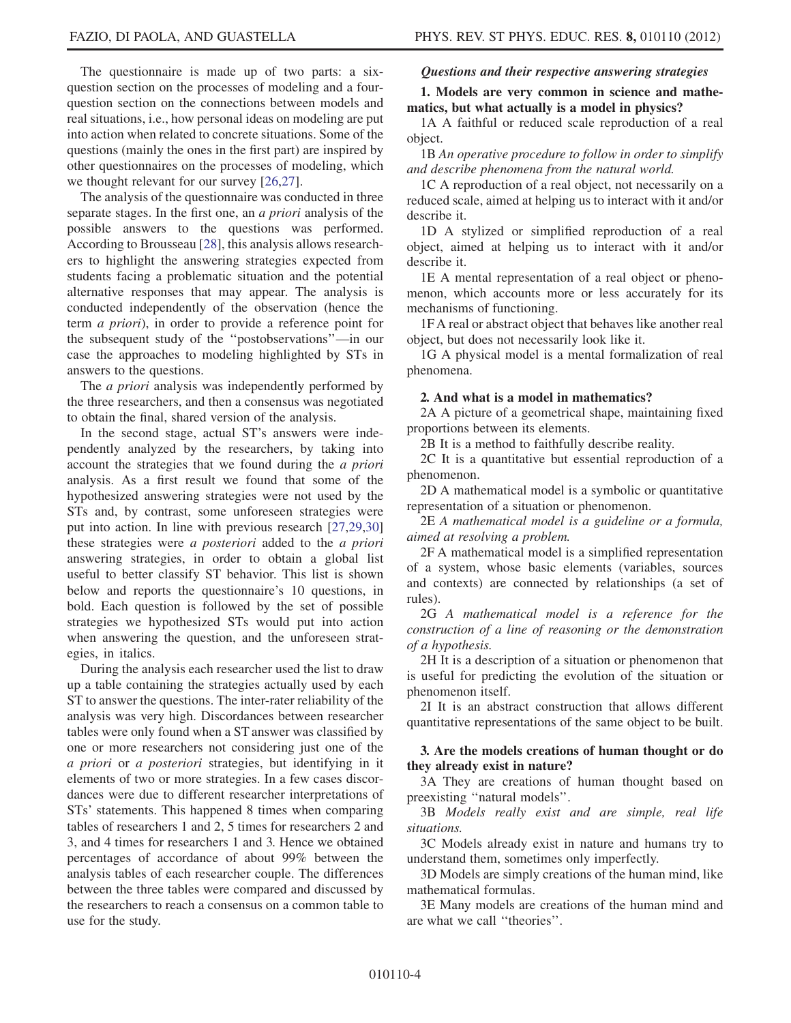The questionnaire is made up of two parts: a sixquestion section on the processes of modeling and a fourquestion section on the connections between models and real situations, i.e., how personal ideas on modeling are put into action when related to concrete situations. Some of the questions (mainly the ones in the first part) are inspired by other questionnaires on the processes of modeling, which we thought relevant for our survey [\[26](#page-16-23)[,27\]](#page-16-24).

The analysis of the questionnaire was conducted in three separate stages. In the first one, an a priori analysis of the possible answers to the questions was performed. According to Brousseau [[28](#page-16-25)], this analysis allows researchers to highlight the answering strategies expected from students facing a problematic situation and the potential alternative responses that may appear. The analysis is conducted independently of the observation (hence the term a priori), in order to provide a reference point for the subsequent study of the ''postobservations''—in our case the approaches to modeling highlighted by STs in answers to the questions.

The *a priori* analysis was independently performed by the three researchers, and then a consensus was negotiated to obtain the final, shared version of the analysis.

In the second stage, actual ST's answers were independently analyzed by the researchers, by taking into account the strategies that we found during the a priori analysis. As a first result we found that some of the hypothesized answering strategies were not used by the STs and, by contrast, some unforeseen strategies were put into action. In line with previous research [[27](#page-16-24)[,29,](#page-16-26)[30\]](#page-16-27) these strategies were a posteriori added to the a priori answering strategies, in order to obtain a global list useful to better classify ST behavior. This list is shown below and reports the questionnaire's 10 questions, in bold. Each question is followed by the set of possible strategies we hypothesized STs would put into action when answering the question, and the unforeseen strategies, in italics.

During the analysis each researcher used the list to draw up a table containing the strategies actually used by each ST to answer the questions. The inter-rater reliability of the analysis was very high. Discordances between researcher tables were only found when a ST answer was classified by one or more researchers not considering just one of the a priori or a posteriori strategies, but identifying in it elements of two or more strategies. In a few cases discordances were due to different researcher interpretations of STs' statements. This happened 8 times when comparing tables of researchers 1 and 2, 5 times for researchers 2 and 3, and 4 times for researchers 1 and 3. Hence we obtained percentages of accordance of about 99% between the analysis tables of each researcher couple. The differences between the three tables were compared and discussed by the researchers to reach a consensus on a common table to use for the study.

### Questions and their respective answering strategies

1. Models are very common in science and mathematics, but what actually is a model in physics?

1A A faithful or reduced scale reproduction of a real object.

1B An operative procedure to follow in order to simplify and describe phenomena from the natural world.

1C A reproduction of a real object, not necessarily on a reduced scale, aimed at helping us to interact with it and/or describe it.

1D A stylized or simplified reproduction of a real object, aimed at helping us to interact with it and/or describe it.

1E A mental representation of a real object or phenomenon, which accounts more or less accurately for its mechanisms of functioning.

1F A real or abstract object that behaves like another real object, but does not necessarily look like it.

1G A physical model is a mental formalization of real phenomena.

# 2. And what is a model in mathematics?

2A A picture of a geometrical shape, maintaining fixed proportions between its elements.

2B It is a method to faithfully describe reality.

2C It is a quantitative but essential reproduction of a phenomenon.

2D A mathematical model is a symbolic or quantitative representation of a situation or phenomenon.

2E A mathematical model is a guideline or a formula, aimed at resolving a problem.

2F A mathematical model is a simplified representation of a system, whose basic elements (variables, sources and contexts) are connected by relationships (a set of rules).

2G A mathematical model is a reference for the construction of a line of reasoning or the demonstration of a hypothesis.

2H It is a description of a situation or phenomenon that is useful for predicting the evolution of the situation or phenomenon itself.

2I It is an abstract construction that allows different quantitative representations of the same object to be built.

# 3. Are the models creations of human thought or do they already exist in nature?

3A They are creations of human thought based on preexisting ''natural models''.

3B Models really exist and are simple, real life situations.

3C Models already exist in nature and humans try to understand them, sometimes only imperfectly.

3D Models are simply creations of the human mind, like mathematical formulas.

3E Many models are creations of the human mind and are what we call ''theories''.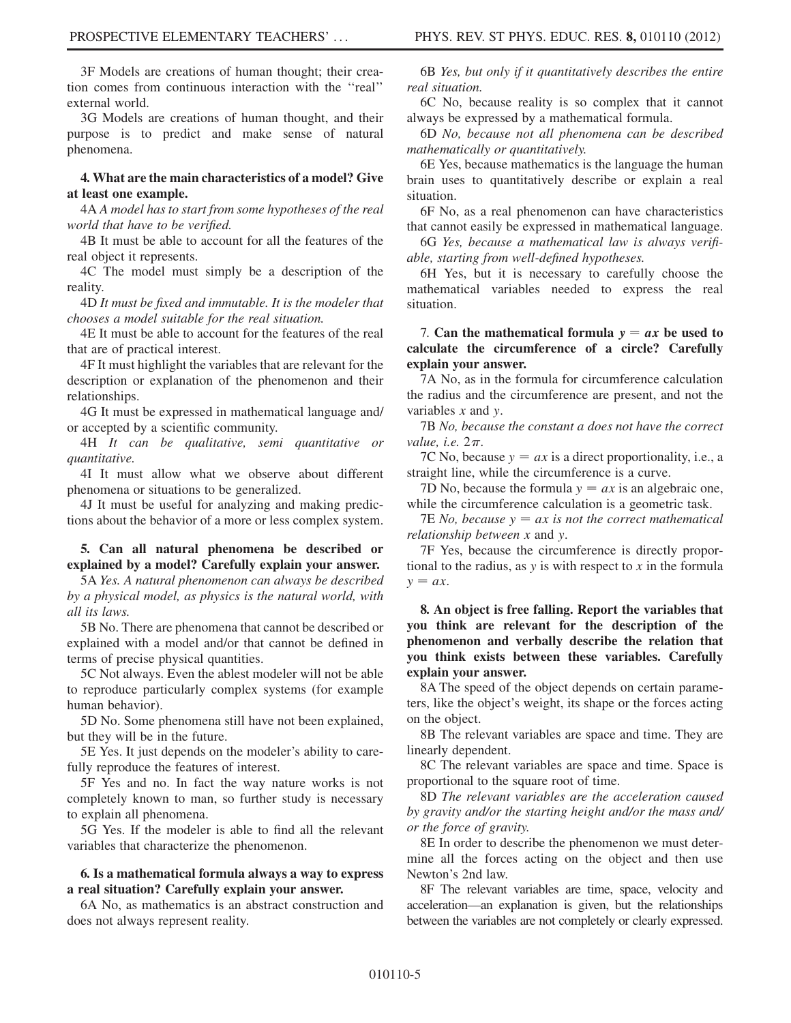3F Models are creations of human thought; their creation comes from continuous interaction with the ''real'' external world.

3G Models are creations of human thought, and their purpose is to predict and make sense of natural phenomena.

# 4. What are the main characteristics of a model? Give at least one example.

4A A model has to start from some hypotheses of the real world that have to be verified.

4B It must be able to account for all the features of the real object it represents.

4C The model must simply be a description of the reality.

4D It must be fixed and immutable. It is the modeler that chooses a model suitable for the real situation.

4E It must be able to account for the features of the real that are of practical interest.

4F It must highlight the variables that are relevant for the description or explanation of the phenomenon and their relationships.

4G It must be expressed in mathematical language and/ or accepted by a scientific community.

4H It can be qualitative, semi quantitative or quantitative.

4I It must allow what we observe about different phenomena or situations to be generalized.

4J It must be useful for analyzing and making predictions about the behavior of a more or less complex system.

# 5. Can all natural phenomena be described or explained by a model? Carefully explain your answer.

5A Yes. A natural phenomenon can always be described by a physical model, as physics is the natural world, with all its laws.

5B No. There are phenomena that cannot be described or explained with a model and/or that cannot be defined in terms of precise physical quantities.

5C Not always. Even the ablest modeler will not be able to reproduce particularly complex systems (for example human behavior).

5D No. Some phenomena still have not been explained, but they will be in the future.

5E Yes. It just depends on the modeler's ability to carefully reproduce the features of interest.

5F Yes and no. In fact the way nature works is not completely known to man, so further study is necessary to explain all phenomena.

5G Yes. If the modeler is able to find all the relevant variables that characterize the phenomenon.

# 6. Is a mathematical formula always a way to express a real situation? Carefully explain your answer.

6A No, as mathematics is an abstract construction and does not always represent reality.

6B Yes, but only if it quantitatively describes the entire real situation.

6C No, because reality is so complex that it cannot always be expressed by a mathematical formula.

6D No, because not all phenomena can be described mathematically or quantitatively.

6E Yes, because mathematics is the language the human brain uses to quantitatively describe or explain a real situation.

6F No, as a real phenomenon can have characteristics that cannot easily be expressed in mathematical language.

6G Yes, because a mathematical law is always verifiable, starting from well-defined hypotheses.

6H Yes, but it is necessary to carefully choose the mathematical variables needed to express the real situation.

# 7. Can the mathematical formula  $y = ax$  be used to calculate the circumference of a circle? Carefully explain your answer.

7A No, as in the formula for circumference calculation the radius and the circumference are present, and not the variables  $x$  and  $y$ .

7B No, because the constant a does not have the correct value, i.e.  $2\pi$ .

7C No, because  $y = ax$  is a direct proportionality, i.e., a straight line, while the circumference is a curve.

7D No, because the formula  $y = ax$  is an algebraic one, while the circumference calculation is a geometric task.

7E No, because  $y = ax$  is not the correct mathematical relationship between x and y.

7F Yes, because the circumference is directly proportional to the radius, as  $y$  is with respect to  $x$  in the formula  $y = ax$ .

8. An object is free falling. Report the variables that you think are relevant for the description of the phenomenon and verbally describe the relation that you think exists between these variables. Carefully explain your answer.

8A The speed of the object depends on certain parameters, like the object's weight, its shape or the forces acting on the object.

8B The relevant variables are space and time. They are linearly dependent.

8C The relevant variables are space and time. Space is proportional to the square root of time.

8D The relevant variables are the acceleration caused by gravity and/or the starting height and/or the mass and/ or the force of gravity.

8E In order to describe the phenomenon we must determine all the forces acting on the object and then use Newton's 2nd law.

8F The relevant variables are time, space, velocity and acceleration—an explanation is given, but the relationships between the variables are not completely or clearly expressed.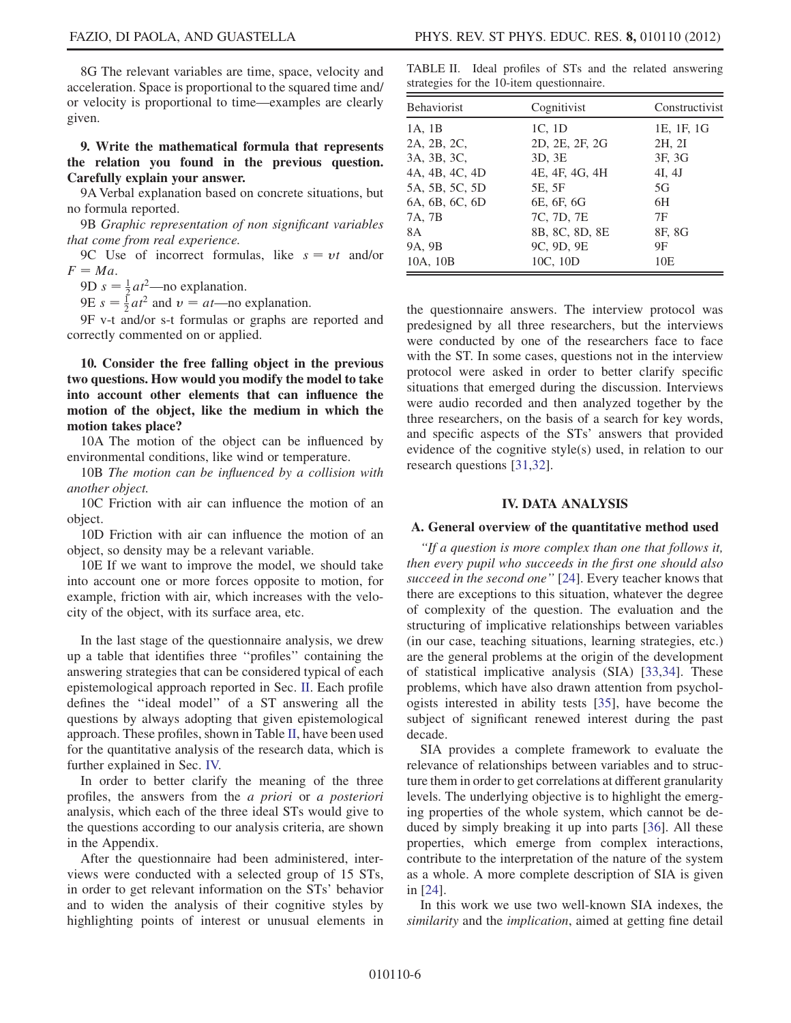8G The relevant variables are time, space, velocity and acceleration. Space is proportional to the squared time and/ or velocity is proportional to time—examples are clearly given.

9. Write the mathematical formula that represents the relation you found in the previous question. Carefully explain your answer.

9A Verbal explanation based on concrete situations, but no formula reported.

9B Graphic representation of non significant variables that come from real experience.

9C Use of incorrect formulas, like  $s = vt$  and/or  $F = Ma$ .

9D  $s = \frac{1}{2}at^2$ —no explanation.<br>
9E  $s = \frac{1}{2}at^2$  and  $y = at$  no  $t$ 

9E  $s = \frac{1}{2}at^2$  and  $v = at$ —no explanation.

9F v-t and/or s-t formulas or graphs are reported and correctly commented on or applied.

10. Consider the free falling object in the previous two questions. How would you modify the model to take into account other elements that can influence the motion of the object, like the medium in which the motion takes place?

10A The motion of the object can be influenced by environmental conditions, like wind or temperature.

10B The motion can be influenced by a collision with another object.

10C Friction with air can influence the motion of an object.

10D Friction with air can influence the motion of an object, so density may be a relevant variable.

10E If we want to improve the model, we should take into account one or more forces opposite to motion, for example, friction with air, which increases with the velocity of the object, with its surface area, etc.

In the last stage of the questionnaire analysis, we drew up a table that identifies three ''profiles'' containing the answering strategies that can be considered typical of each epistemological approach reported in Sec. II. Each profile defines the ''ideal model'' of a ST answering all the questions by always adopting that given epistemological approach. These profiles, shown in Table [II,](#page-5-0) have been used for the quantitative analysis of the research data, which is further explained in Sec. IV.

In order to better clarify the meaning of the three profiles, the answers from the a priori or a posteriori analysis, which each of the three ideal STs would give to the questions according to our analysis criteria, are shown in the Appendix.

After the questionnaire had been administered, interviews were conducted with a selected group of 15 STs, in order to get relevant information on the STs' behavior and to widen the analysis of their cognitive styles by highlighting points of interest or unusual elements in

<span id="page-5-0"></span>TABLE II. Ideal profiles of STs and the related answering strategies for the 10-item questionnaire.

| Behaviorist    | Cognitivist    | Constructivist |  |
|----------------|----------------|----------------|--|
| 1A, 1B         | 1C, 1D         | 1E, 1F, 1G     |  |
| 2A, 2B, 2C,    | 2D, 2E, 2F, 2G | 2H, 2I         |  |
| 3A, 3B, 3C,    | 3D, 3E         | 3F, 3G         |  |
| 4A, 4B, 4C, 4D | 4E, 4F, 4G, 4H | 4I, 4J         |  |
| 5A, 5B, 5C, 5D | 5E, 5F         | 5G             |  |
| 6A, 6B, 6C, 6D | 6E, 6F, 6G     | 6H             |  |
| 7A, 7B         | 7C, 7D, 7E     | 7F             |  |
| 8A             | 8B, 8C, 8D, 8E | 8F, 8G         |  |
| 9A, 9B         | 9C, 9D, 9E     | 9F             |  |
| 10A, 10B       | 10C, 10D       | 10E            |  |

the questionnaire answers. The interview protocol was predesigned by all three researchers, but the interviews were conducted by one of the researchers face to face with the ST. In some cases, questions not in the interview protocol were asked in order to better clarify specific situations that emerged during the discussion. Interviews were audio recorded and then analyzed together by the three researchers, on the basis of a search for key words, and specific aspects of the STs' answers that provided evidence of the cognitive style(s) used, in relation to our research questions [[31](#page-16-28)[,32](#page-16-29)].

### IV. DATA ANALYSIS

### A. General overview of the quantitative method used

''If a question is more complex than one that follows it, then every pupil who succeeds in the first one should also succeed in the second one" [\[24\]](#page-16-21). Every teacher knows that there are exceptions to this situation, whatever the degree of complexity of the question. The evaluation and the structuring of implicative relationships between variables (in our case, teaching situations, learning strategies, etc.) are the general problems at the origin of the development of statistical implicative analysis (SIA) [[33](#page-16-30),[34](#page-16-31)]. These problems, which have also drawn attention from psychologists interested in ability tests [[35](#page-16-32)], have become the subject of significant renewed interest during the past decade.

SIA provides a complete framework to evaluate the relevance of relationships between variables and to structure them in order to get correlations at different granularity levels. The underlying objective is to highlight the emerging properties of the whole system, which cannot be deduced by simply breaking it up into parts [\[36\]](#page-16-33). All these properties, which emerge from complex interactions, contribute to the interpretation of the nature of the system as a whole. A more complete description of SIA is given in [\[24\]](#page-16-21).

In this work we use two well-known SIA indexes, the similarity and the *implication*, aimed at getting fine detail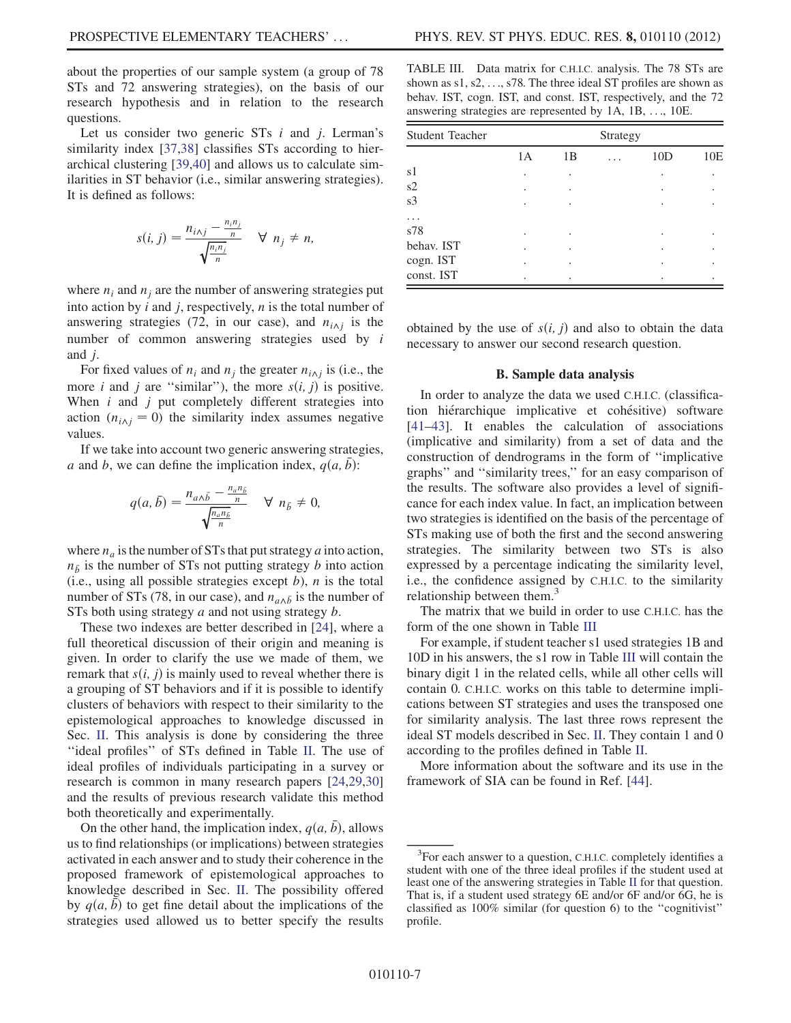about the properties of our sample system (a group of 78 STs and 72 answering strategies), on the basis of our research hypothesis and in relation to the research questions.

Let us consider two generic STs  $i$  and  $j$ . Lerman's similarity index [[37](#page-16-34),[38](#page-17-0)] classifies STs according to hierarchical clustering [\[39,](#page-17-1)[40\]](#page-17-2) and allows us to calculate similarities in ST behavior (i.e., similar answering strategies). It is defined as follows:

$$
s(i, j) = \frac{n_{i \wedge j} - \frac{n_i n_j}{n}}{\sqrt{\frac{n_i n_j}{n}}} \quad \forall n_j \neq n,
$$

where  $n_i$  and  $n_j$  are the number of answering strategies put into action by  $i$  and  $j$ , respectively,  $n$  is the total number of answering strategies (72, in our case), and  $n_{i \wedge j}$  is the number of common answering strategies used by i and j.

For fixed values of  $n_i$  and  $n_j$  the greater  $n_{i \wedge j}$  is (i.e., the more *i* and *j* are "similar"), the more  $s(i, j)$  is positive. When  $i$  and  $j$  put completely different strategies into action  $(n_{i \wedge i} = 0)$  the similarity index assumes negative values.

If we take into account two generic answering strategies, a and b, we can define the implication index,  $q(a, \bar{b})$ :

$$
q(a,\bar{b}) = \frac{n_{a\wedge\bar{b}} - \frac{n_a n_{\bar{b}}}{n}}{\sqrt{\frac{n_a n_{\bar{b}}}{n}}} \quad \forall n_{\bar{b}} \neq 0,
$$

where  $n_a$  is the number of STs that put strategy a into action,  $n_{\bar{b}}$  is the number of STs not putting strategy b into action (i.e., using all possible strategies except  $b$ ),  $n$  is the total number of STs (78, in our case), and  $n_{a\wedge\bar{b}}$  is the number of STs both using strategy a and not using strategy b.

These two indexes are better described in [\[24\]](#page-16-21), where a full theoretical discussion of their origin and meaning is given. In order to clarify the use we made of them, we remark that  $s(i, j)$  is mainly used to reveal whether there is a grouping of ST behaviors and if it is possible to identify clusters of behaviors with respect to their similarity to the epistemological approaches to knowledge discussed in Sec. II. This analysis is done by considering the three ''ideal profiles'' of STs defined in Table [II.](#page-5-0) The use of ideal profiles of individuals participating in a survey or research is common in many research papers [[24](#page-16-21)[,29](#page-16-26)[,30\]](#page-16-27) and the results of previous research validate this method both theoretically and experimentally.

On the other hand, the implication index,  $q(a, b)$ , allows us to find relationships (or implications) between strategies activated in each answer and to study their coherence in the proposed framework of epistemological approaches to knowledge described in Sec. II. The possibility offered by  $q(a, b)$  to get fine detail about the implications of the strategies used allowed us to better specify the results

<span id="page-6-0"></span>TABLE III. Data matrix for C.H.I.C. analysis. The 78 STs are shown as s1, s2, ..., s78. The three ideal ST profiles are shown as behav. IST, cogn. IST, and const. IST, respectively, and the 72 answering strategies are represented by 1A, 1B, ..., 10E.

| <b>Student Teacher</b> |    |    | Strategy |     |     |
|------------------------|----|----|----------|-----|-----|
|                        | 1А | 1B |          | 10D | 10E |
| s1                     |    |    |          | ٠   |     |
| s2                     |    | ٠  |          |     |     |
| s3                     |    |    |          |     |     |
|                        |    |    |          |     |     |
| s78                    |    | ٠  |          |     |     |
| behav. IST             |    | ٠  |          |     |     |
| cogn. IST              |    |    |          |     |     |
| const. IST             |    | ٠  |          | ٠   |     |

obtained by the use of  $s(i, j)$  and also to obtain the data necessary to answer our second research question.

#### B. Sample data analysis

In order to analyze the data we used C.H.I.C. (classification hiérarchique implicative et cohésitive) software [\[41–](#page-17-3)[43\]](#page-17-4). It enables the calculation of associations (implicative and similarity) from a set of data and the construction of dendrograms in the form of ''implicative graphs'' and ''similarity trees,'' for an easy comparison of the results. The software also provides a level of significance for each index value. In fact, an implication between two strategies is identified on the basis of the percentage of STs making use of both the first and the second answering strategies. The similarity between two STs is also expressed by a percentage indicating the similarity level, i.e., the confidence assigned by C.H.I.C. to the similarity relationship between them.<sup>3</sup>

The matrix that we build in order to use C.H.I.C. has the form of the one shown in Table [III](#page-6-0)

For example, if student teacher s1 used strategies 1B and 10D in his answers, the s1 row in Table [III](#page-6-0) will contain the binary digit 1 in the related cells, while all other cells will contain 0. C.H.I.C. works on this table to determine implications between ST strategies and uses the transposed one for similarity analysis. The last three rows represent the ideal ST models described in Sec. II. They contain 1 and 0 according to the profiles defined in Table [II](#page-5-0).

More information about the software and its use in the framework of SIA can be found in Ref. [[44](#page-17-5)].

<sup>&</sup>lt;sup>3</sup>For each answer to a question, C.H.I.C. completely identifies a student with one of the three ideal profiles if the student used at least one of the answering strategies in Table [II](#page-5-0) for that question. That is, if a student used strategy 6E and/or 6F and/or 6G, he is classified as 100% similar (for question 6) to the ''cognitivist'' profile.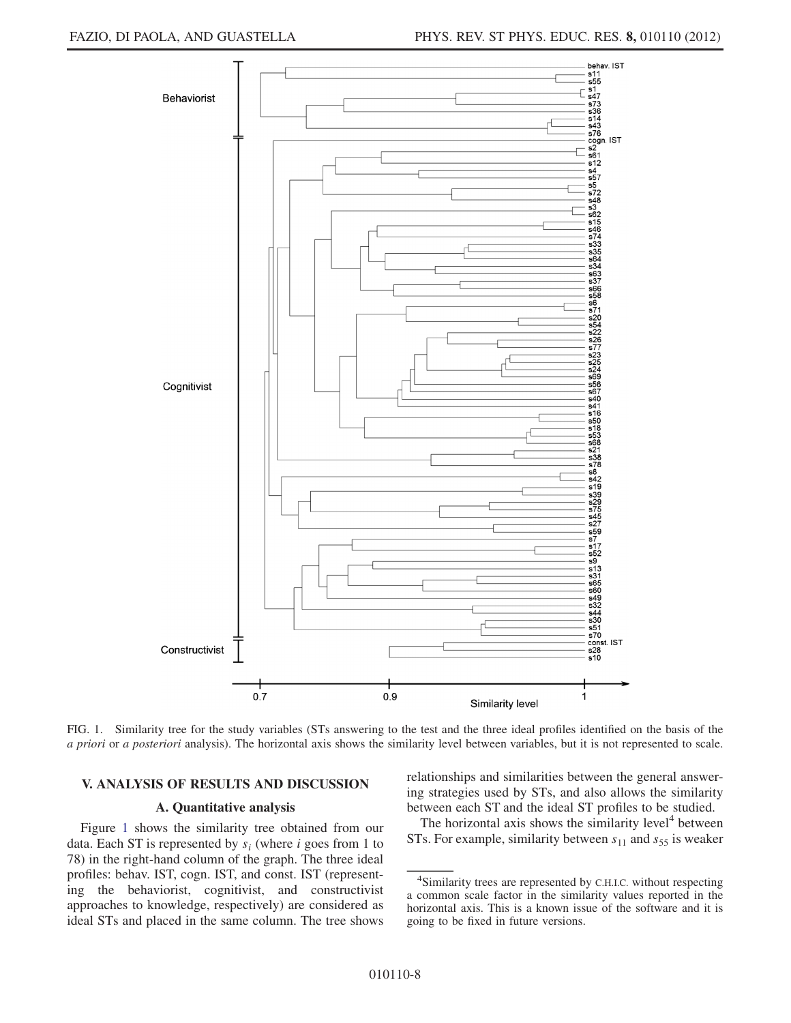<span id="page-7-0"></span>

FIG. 1. Similarity tree for the study variables (STs answering to the test and the three ideal profiles identified on the basis of the a priori or a posteriori analysis). The horizontal axis shows the similarity level between variables, but it is not represented to scale.

# V. ANALYSIS OF RESULTS AND DISCUSSION

### A. Quantitative analysis

Figure [1](#page-7-0) shows the similarity tree obtained from our data. Each ST is represented by  $s_i$  (where i goes from 1 to 78) in the right-hand column of the graph. The three ideal profiles: behav. IST, cogn. IST, and const. IST (representing the behaviorist, cognitivist, and constructivist approaches to knowledge, respectively) are considered as ideal STs and placed in the same column. The tree shows relationships and similarities between the general answering strategies used by STs, and also allows the similarity between each ST and the ideal ST profiles to be studied.

The horizontal axis shows the similarity level<sup>4</sup> between STs. For example, similarity between  $s_{11}$  and  $s_{55}$  is weaker

<sup>4</sup> Similarity trees are represented by C.H.I.C. without respecting a common scale factor in the similarity values reported in the horizontal axis. This is a known issue of the software and it is going to be fixed in future versions.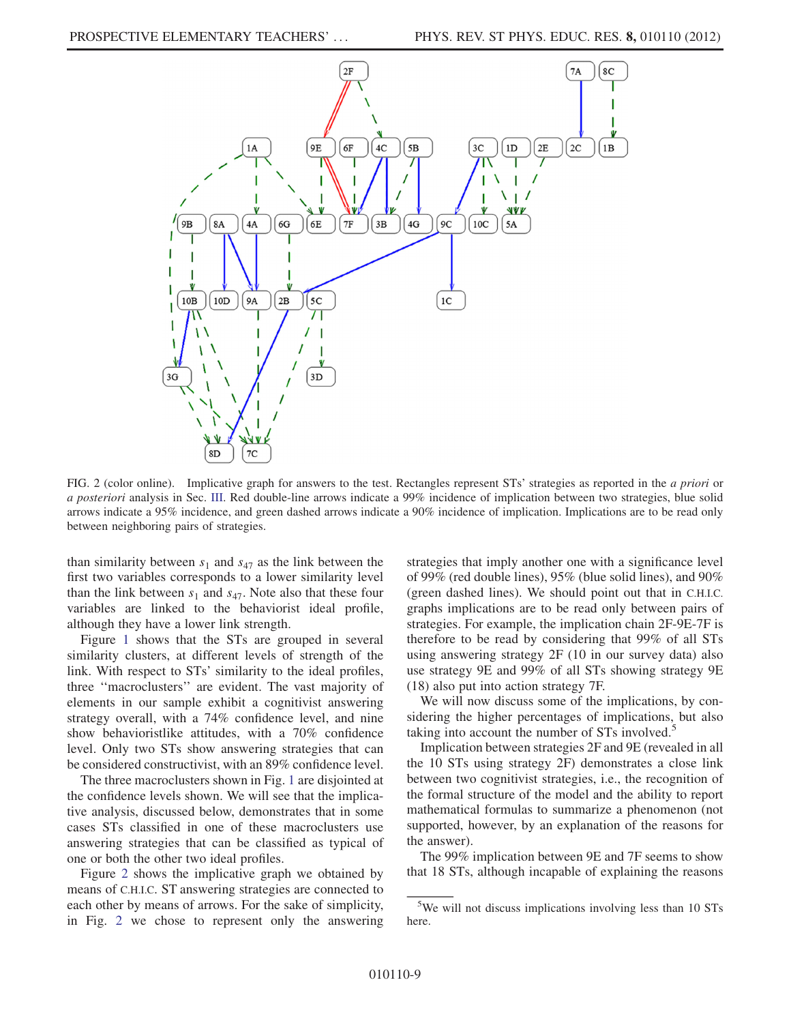<span id="page-8-0"></span>

FIG. 2 (color online). Implicative graph for answers to the test. Rectangles represent STs' strategies as reported in the a priori or a posteriori analysis in Sec. III. Red double-line arrows indicate a 99% incidence of implication between two strategies, blue solid arrows indicate a 95% incidence, and green dashed arrows indicate a 90% incidence of implication. Implications are to be read only between neighboring pairs of strategies.

than similarity between  $s_1$  and  $s_{47}$  as the link between the first two variables corresponds to a lower similarity level than the link between  $s_1$  and  $s_{47}$ . Note also that these four variables are linked to the behaviorist ideal profile, although they have a lower link strength.

Figure [1](#page-7-0) shows that the STs are grouped in several similarity clusters, at different levels of strength of the link. With respect to STs' similarity to the ideal profiles, three ''macroclusters'' are evident. The vast majority of elements in our sample exhibit a cognitivist answering strategy overall, with a 74% confidence level, and nine show behavioristlike attitudes, with a 70% confidence level. Only two STs show answering strategies that can be considered constructivist, with an 89% confidence level.

The three macroclusters shown in Fig. [1](#page-7-0) are disjointed at the confidence levels shown. We will see that the implicative analysis, discussed below, demonstrates that in some cases STs classified in one of these macroclusters use answering strategies that can be classified as typical of one or both the other two ideal profiles.

Figure [2](#page-8-0) shows the implicative graph we obtained by means of C.H.I.C. ST answering strategies are connected to each other by means of arrows. For the sake of simplicity, in Fig. [2](#page-8-0) we chose to represent only the answering strategies that imply another one with a significance level of 99% (red double lines), 95% (blue solid lines), and 90% (green dashed lines). We should point out that in C.H.I.C. graphs implications are to be read only between pairs of strategies. For example, the implication chain 2F-9E-7F is therefore to be read by considering that 99% of all STs using answering strategy 2F (10 in our survey data) also use strategy 9E and 99% of all STs showing strategy 9E (18) also put into action strategy 7F.

We will now discuss some of the implications, by considering the higher percentages of implications, but also taking into account the number of STs involved.<sup>5</sup>

Implication between strategies 2F and 9E (revealed in all the 10 STs using strategy 2F) demonstrates a close link between two cognitivist strategies, i.e., the recognition of the formal structure of the model and the ability to report mathematical formulas to summarize a phenomenon (not supported, however, by an explanation of the reasons for the answer).

The 99% implication between 9E and 7F seems to show that 18 STs, although incapable of explaining the reasons

<sup>&</sup>lt;sup>5</sup>We will not discuss implications involving less than 10 STs here.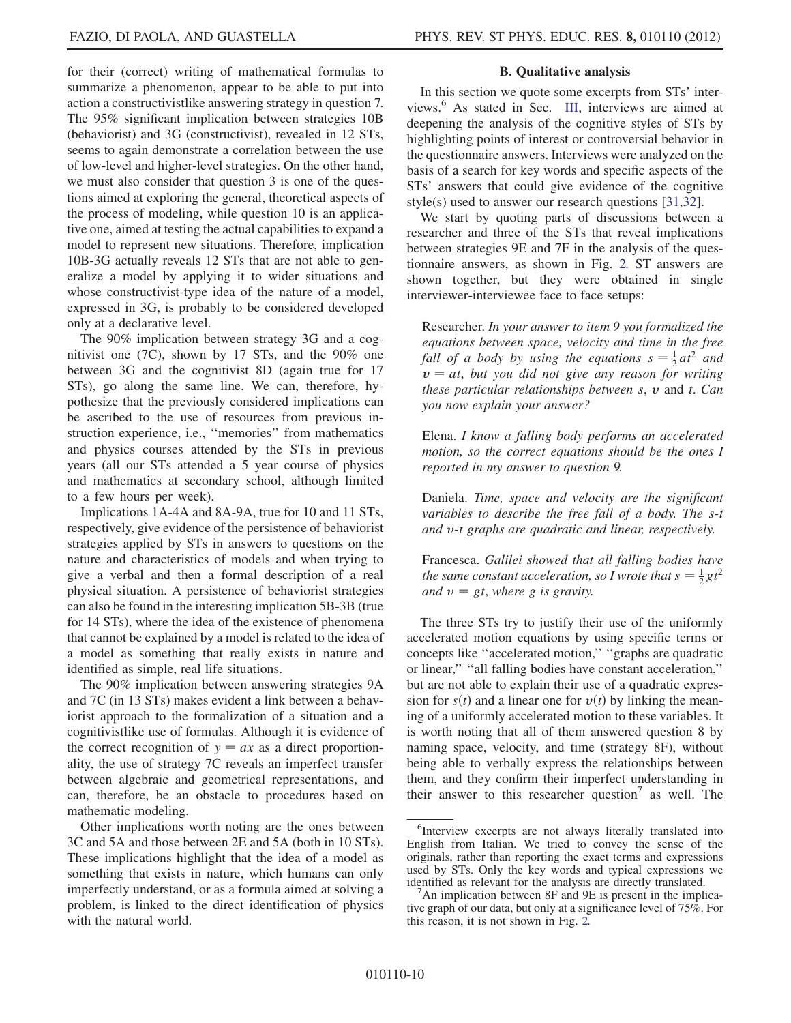for their (correct) writing of mathematical formulas to summarize a phenomenon, appear to be able to put into action a constructivistlike answering strategy in question 7. The 95% significant implication between strategies 10B (behaviorist) and 3G (constructivist), revealed in 12 STs, seems to again demonstrate a correlation between the use of low-level and higher-level strategies. On the other hand, we must also consider that question 3 is one of the questions aimed at exploring the general, theoretical aspects of the process of modeling, while question 10 is an applicative one, aimed at testing the actual capabilities to expand a model to represent new situations. Therefore, implication 10B-3G actually reveals 12 STs that are not able to generalize a model by applying it to wider situations and whose constructivist-type idea of the nature of a model, expressed in 3G, is probably to be considered developed only at a declarative level.

The 90% implication between strategy 3G and a cognitivist one (7C), shown by 17 STs, and the 90% one between 3G and the cognitivist 8D (again true for 17 STs), go along the same line. We can, therefore, hypothesize that the previously considered implications can be ascribed to the use of resources from previous instruction experience, i.e., ''memories'' from mathematics and physics courses attended by the STs in previous years (all our STs attended a 5 year course of physics and mathematics at secondary school, although limited to a few hours per week).

Implications 1A-4A and 8A-9A, true for 10 and 11 STs, respectively, give evidence of the persistence of behaviorist strategies applied by STs in answers to questions on the nature and characteristics of models and when trying to give a verbal and then a formal description of a real physical situation. A persistence of behaviorist strategies can also be found in the interesting implication 5B-3B (true for 14 STs), where the idea of the existence of phenomena that cannot be explained by a model is related to the idea of a model as something that really exists in nature and identified as simple, real life situations.

The 90% implication between answering strategies 9A and 7C (in 13 STs) makes evident a link between a behaviorist approach to the formalization of a situation and a cognitivistlike use of formulas. Although it is evidence of the correct recognition of  $y = ax$  as a direct proportionality, the use of strategy 7C reveals an imperfect transfer between algebraic and geometrical representations, and can, therefore, be an obstacle to procedures based on mathematic modeling.

Other implications worth noting are the ones between 3C and 5A and those between 2E and 5A (both in 10 STs). These implications highlight that the idea of a model as something that exists in nature, which humans can only imperfectly understand, or as a formula aimed at solving a problem, is linked to the direct identification of physics with the natural world.

## B. Qualitative analysis

In this section we quote some excerpts from STs' interviews.<sup>6</sup> As stated in Sec. III, interviews are aimed at deepening the analysis of the cognitive styles of STs by highlighting points of interest or controversial behavior in the questionnaire answers. Interviews were analyzed on the basis of a search for key words and specific aspects of the STs' answers that could give evidence of the cognitive style(s) used to answer our research questions [[31](#page-16-28),[32](#page-16-29)].

We start by quoting parts of discussions between a researcher and three of the STs that reveal implications between strategies 9E and 7F in the analysis of the questionnaire answers, as shown in Fig. [2.](#page-8-0) ST answers are shown together, but they were obtained in single interviewer-interviewee face to face setups:

Researcher. In your answer to item 9 you formalized the equations between space, velocity and time in the free fall of a body by using the equations  $s = \frac{1}{2}at^2$  and  $u = at$  but you did not give any reason for writing  $v = at$ , but you did not give any reason for writing these particular relationships between  $s, v$  and  $t.$  Can you now explain your answer?

Elena. I know a falling body performs an accelerated motion, so the correct equations should be the ones I reported in my answer to question 9.

Daniela. Time, space and velocity are the significant variables to describe the free fall of a body. The s-t and v-t graphs are quadratic and linear, respectively.

Francesca. Galilei showed that all falling bodies have the same constant acceleration, so I wrote that  $s = \frac{1}{2}gt^2$ <br>and  $y = ot$  where a is gravity and  $v = gt$ , where g is gravity.

The three STs try to justify their use of the uniformly accelerated motion equations by using specific terms or concepts like ''accelerated motion,'' ''graphs are quadratic or linear,'' ''all falling bodies have constant acceleration,'' but are not able to explain their use of a quadratic expression for  $s(t)$  and a linear one for  $v(t)$  by linking the meaning of a uniformly accelerated motion to these variables. It is worth noting that all of them answered question 8 by naming space, velocity, and time (strategy 8F), without being able to verbally express the relationships between them, and they confirm their imperfect understanding in their answer to this researcher question<sup> $\prime$ </sup> as well. The

<sup>&</sup>lt;sup>6</sup>Interview excerpts are not always literally translated into English from Italian. We tried to convey the sense of the originals, rather than reporting the exact terms and expressions used by STs. Only the key words and typical expressions we identified as relevant for the analysis are directly translated.

An implication between 8F and 9E is present in the implicative graph of our data, but only at a significance level of 75%. For this reason, it is not shown in Fig. [2.](#page-8-0)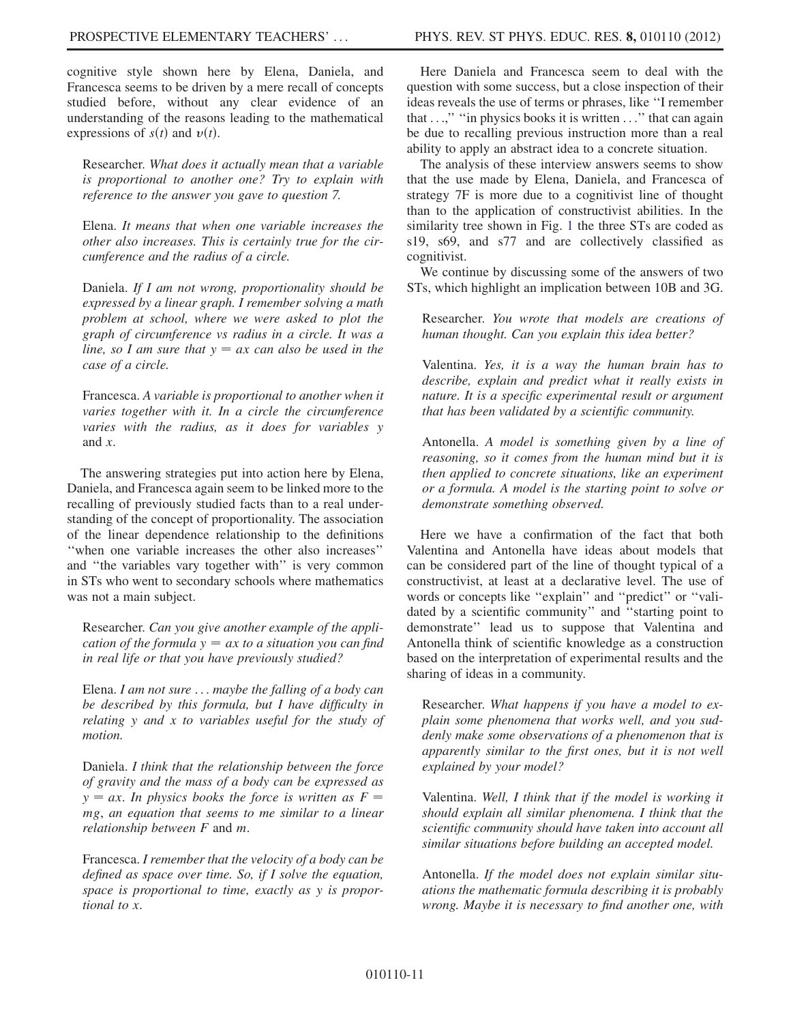cognitive style shown here by Elena, Daniela, and Francesca seems to be driven by a mere recall of concepts studied before, without any clear evidence of an understanding of the reasons leading to the mathematical expressions of  $s(t)$  and  $v(t)$ .

Researcher. What does it actually mean that a variable is proportional to another one? Try to explain with reference to the answer you gave to question 7.

Elena. It means that when one variable increases the other also increases. This is certainly true for the circumference and the radius of a circle.

Daniela. If I am not wrong, proportionality should be expressed by a linear graph. I remember solving a math problem at school, where we were asked to plot the graph of circumference vs radius in a circle. It was a line, so I am sure that  $y = ax$  can also be used in the case of a circle.

Francesca. A variable is proportional to another when it varies together with it. In a circle the circumference varies with the radius, as it does for variables y and x.

The answering strategies put into action here by Elena, Daniela, and Francesca again seem to be linked more to the recalling of previously studied facts than to a real understanding of the concept of proportionality. The association of the linear dependence relationship to the definitions ''when one variable increases the other also increases'' and ''the variables vary together with'' is very common in STs who went to secondary schools where mathematics was not a main subject.

Researcher. Can you give another example of the application of the formula  $y = ax$  to a situation you can find in real life or that you have previously studied?

Elena. I am not sure ... maybe the falling of a body can be described by this formula, but I have difficulty in relating y and x to variables useful for the study of motion.

Daniela. I think that the relationship between the force of gravity and the mass of a body can be expressed as  $y = ax$ . In physics books the force is written as  $F = y$ mg, an equation that seems to me similar to a linear relationship between F and m.

Francesca. I remember that the velocity of a body can be defined as space over time. So, if I solve the equation, space is proportional to time, exactly as y is proportional to x.

Here Daniela and Francesca seem to deal with the question with some success, but a close inspection of their ideas reveals the use of terms or phrases, like ''I remember that  $\dots$ ," "in physics books it is written  $\dots$ " that can again be due to recalling previous instruction more than a real ability to apply an abstract idea to a concrete situation.

The analysis of these interview answers seems to show that the use made by Elena, Daniela, and Francesca of strategy 7F is more due to a cognitivist line of thought than to the application of constructivist abilities. In the similarity tree shown in Fig. [1](#page-7-0) the three STs are coded as s19, s69, and s77 and are collectively classified as cognitivist.

We continue by discussing some of the answers of two STs, which highlight an implication between 10B and 3G.

Researcher. You wrote that models are creations of human thought. Can you explain this idea better?

Valentina. Yes, it is a way the human brain has to describe, explain and predict what it really exists in nature. It is a specific experimental result or argument that has been validated by a scientific community.

Antonella. A model is something given by a line of reasoning, so it comes from the human mind but it is then applied to concrete situations, like an experiment or a formula. A model is the starting point to solve or demonstrate something observed.

Here we have a confirmation of the fact that both Valentina and Antonella have ideas about models that can be considered part of the line of thought typical of a constructivist, at least at a declarative level. The use of words or concepts like ''explain'' and ''predict'' or ''validated by a scientific community'' and ''starting point to demonstrate'' lead us to suppose that Valentina and Antonella think of scientific knowledge as a construction based on the interpretation of experimental results and the sharing of ideas in a community.

Researcher. What happens if you have a model to explain some phenomena that works well, and you suddenly make some observations of a phenomenon that is apparently similar to the first ones, but it is not well explained by your model?

Valentina. Well, I think that if the model is working it should explain all similar phenomena. I think that the scientific community should have taken into account all similar situations before building an accepted model.

Antonella. If the model does not explain similar situations the mathematic formula describing it is probably wrong. Maybe it is necessary to find another one, with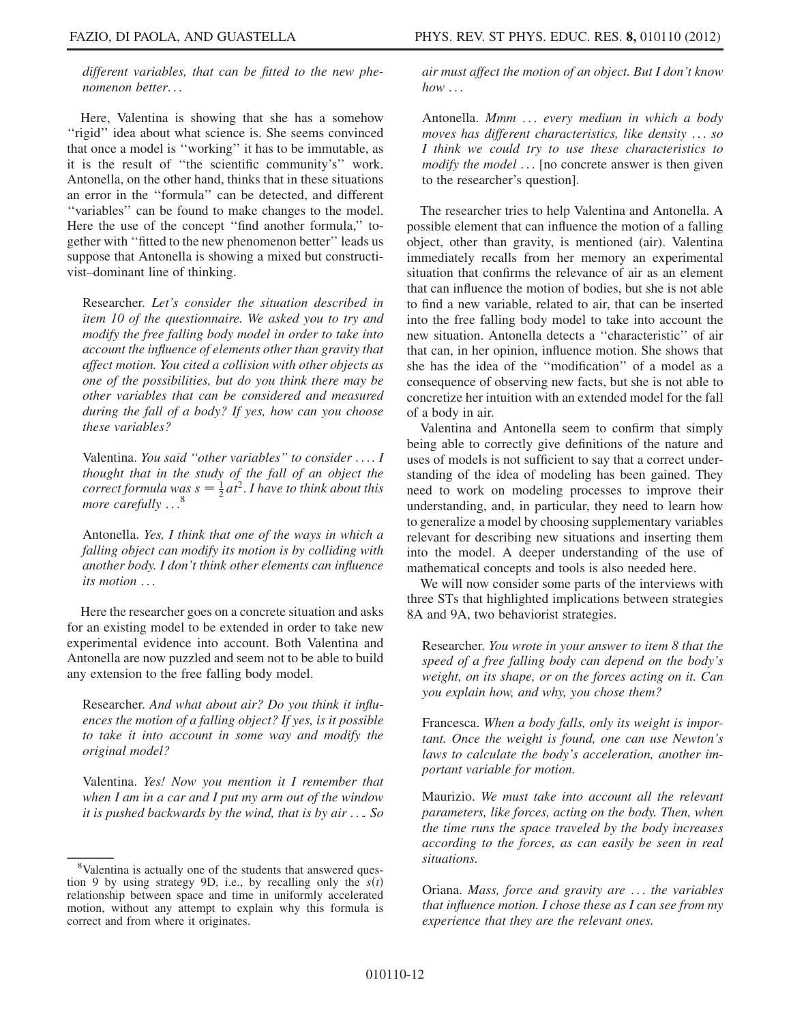different variables, that can be fitted to the new phenomenon better...

Here, Valentina is showing that she has a somehow "rigid" idea about what science is. She seems convinced that once a model is ''working'' it has to be immutable, as it is the result of ''the scientific community's'' work. Antonella, on the other hand, thinks that in these situations an error in the ''formula'' can be detected, and different ''variables'' can be found to make changes to the model. Here the use of the concept "find another formula," together with ''fitted to the new phenomenon better'' leads us suppose that Antonella is showing a mixed but constructivist–dominant line of thinking.

Researcher. Let's consider the situation described in item 10 of the questionnaire. We asked you to try and modify the free falling body model in order to take into account the influence of elements other than gravity that affect motion. You cited a collision with other objects as one of the possibilities, but do you think there may be other variables that can be considered and measured during the fall of a body? If yes, how can you choose these variables?

Valentina. You said ''other variables'' to consider ... . I thought that in the study of the fall of an object the correct formula was  $s = \frac{1}{2}at^2$ . I have to think about this more carefully more carefully  $\ldots$ <sup>8</sup>

Antonella. Yes, I think that one of the ways in which a falling object can modify its motion is by colliding with another body. I don't think other elements can influence its motion ...

Here the researcher goes on a concrete situation and asks for an existing model to be extended in order to take new experimental evidence into account. Both Valentina and Antonella are now puzzled and seem not to be able to build any extension to the free falling body model.

Researcher. And what about air? Do you think it influences the motion of a falling object? If yes, is it possible to take it into account in some way and modify the original model?

Valentina. Yes! Now you mention it I remember that when I am in a car and I put my arm out of the window it is pushed backwards by the wind, that is by  $air \ldots So$  air must affect the motion of an object. But I don't know  $how \ldots$ 

Antonella. Mmm ... every medium in which a body moves has different characteristics, like density ... so I think we could try to use these characteristics to modify the model ... [no concrete answer is then given to the researcher's question].

The researcher tries to help Valentina and Antonella. A possible element that can influence the motion of a falling object, other than gravity, is mentioned (air). Valentina immediately recalls from her memory an experimental situation that confirms the relevance of air as an element that can influence the motion of bodies, but she is not able to find a new variable, related to air, that can be inserted into the free falling body model to take into account the new situation. Antonella detects a ''characteristic'' of air that can, in her opinion, influence motion. She shows that she has the idea of the ''modification'' of a model as a consequence of observing new facts, but she is not able to concretize her intuition with an extended model for the fall of a body in air.

Valentina and Antonella seem to confirm that simply being able to correctly give definitions of the nature and uses of models is not sufficient to say that a correct understanding of the idea of modeling has been gained. They need to work on modeling processes to improve their understanding, and, in particular, they need to learn how to generalize a model by choosing supplementary variables relevant for describing new situations and inserting them into the model. A deeper understanding of the use of mathematical concepts and tools is also needed here.

We will now consider some parts of the interviews with three STs that highlighted implications between strategies 8A and 9A, two behaviorist strategies.

Researcher. You wrote in your answer to item 8 that the speed of a free falling body can depend on the body's weight, on its shape, or on the forces acting on it. Can you explain how, and why, you chose them?

Francesca. When a body falls, only its weight is important. Once the weight is found, one can use Newton's laws to calculate the body's acceleration, another important variable for motion.

Maurizio. We must take into account all the relevant parameters, like forces, acting on the body. Then, when the time runs the space traveled by the body increases according to the forces, as can easily be seen in real situations.

Oriana. Mass, force and gravity are ... the variables that influence motion. I chose these as I can see from my experience that they are the relevant ones.

<sup>&</sup>lt;sup>8</sup>Valentina is actually one of the students that answered question 9 by using strategy 9D, i.e., by recalling only the  $s(t)$  relationship between space and time in uniformly accelerated motion, without any attempt to explain why this formula is correct and from where it originates.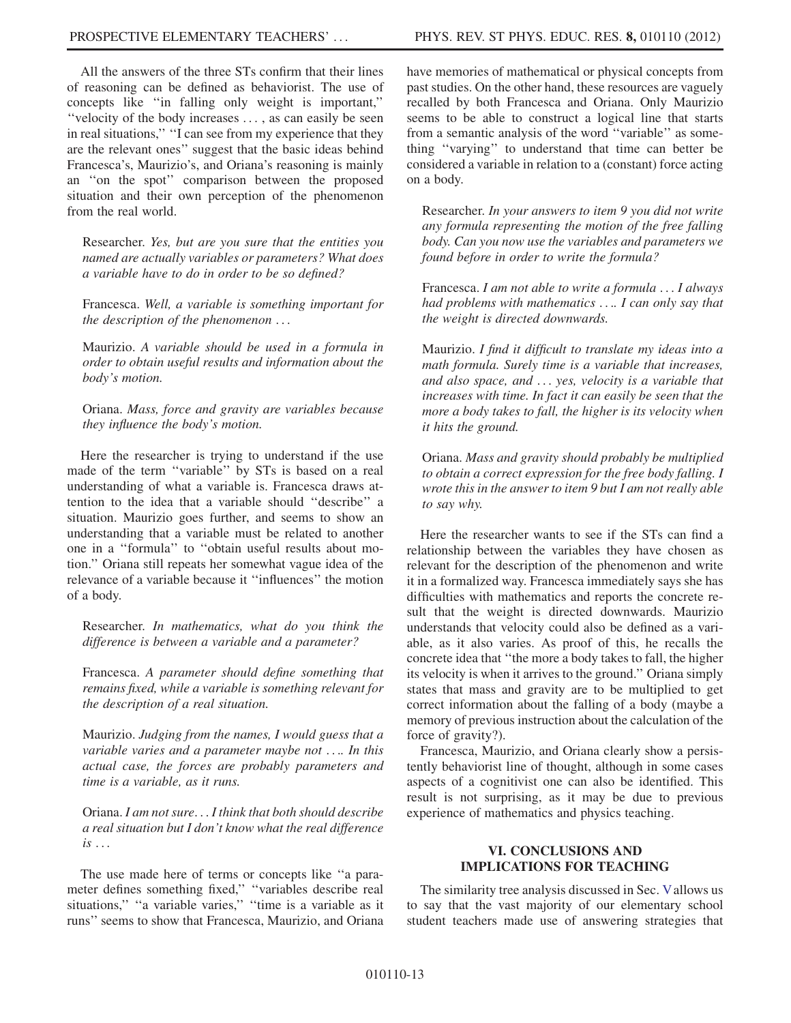All the answers of the three STs confirm that their lines of reasoning can be defined as behaviorist. The use of concepts like ''in falling only weight is important,'' ''velocity of the body increases ... , as can easily be seen in real situations," "I can see from my experience that they are the relevant ones'' suggest that the basic ideas behind Francesca's, Maurizio's, and Oriana's reasoning is mainly an ''on the spot'' comparison between the proposed situation and their own perception of the phenomenon from the real world.

Researcher. Yes, but are you sure that the entities you named are actually variables or parameters? What does a variable have to do in order to be so defined?

Francesca. Well, a variable is something important for the description of the phenomenon ...

Maurizio. A variable should be used in a formula in order to obtain useful results and information about the body's motion.

Oriana. Mass, force and gravity are variables because they influence the body's motion.

Here the researcher is trying to understand if the use made of the term ''variable'' by STs is based on a real understanding of what a variable is. Francesca draws attention to the idea that a variable should ''describe'' a situation. Maurizio goes further, and seems to show an understanding that a variable must be related to another one in a ''formula'' to ''obtain useful results about motion.'' Oriana still repeats her somewhat vague idea of the relevance of a variable because it ''influences'' the motion of a body.

Researcher. In mathematics, what do you think the difference is between a variable and a parameter?

Francesca. A parameter should define something that remains fixed, while a variable is something relevant for the description of a real situation.

Maurizio. Judging from the names, I would guess that a variable varies and a parameter maybe not .... In this actual case, the forces are probably parameters and time is a variable, as it runs.

Oriana. I am not sure... I think that both should describe a real situation but I don't know what the real difference  $is \dots$ 

The use made here of terms or concepts like ''a parameter defines something fixed,'' ''variables describe real situations," "a variable varies," "time is a variable as it runs'' seems to show that Francesca, Maurizio, and Oriana

have memories of mathematical or physical concepts from past studies. On the other hand, these resources are vaguely recalled by both Francesca and Oriana. Only Maurizio seems to be able to construct a logical line that starts from a semantic analysis of the word ''variable'' as something ''varying'' to understand that time can better be considered a variable in relation to a (constant) force acting on a body.

Researcher. In your answers to item 9 you did not write any formula representing the motion of the free falling body. Can you now use the variables and parameters we found before in order to write the formula?

Francesca. I am not able to write a formula ... I always had problems with mathematics .... I can only say that the weight is directed downwards.

Maurizio. I find it difficult to translate my ideas into a math formula. Surely time is a variable that increases, and also space, and ... yes, velocity is a variable that increases with time. In fact it can easily be seen that the more a body takes to fall, the higher is its velocity when it hits the ground.

Oriana. Mass and gravity should probably be multiplied to obtain a correct expression for the free body falling. I wrote this in the answer to item 9 but I am not really able to say why.

Here the researcher wants to see if the STs can find a relationship between the variables they have chosen as relevant for the description of the phenomenon and write it in a formalized way. Francesca immediately says she has difficulties with mathematics and reports the concrete result that the weight is directed downwards. Maurizio understands that velocity could also be defined as a variable, as it also varies. As proof of this, he recalls the concrete idea that ''the more a body takes to fall, the higher its velocity is when it arrives to the ground.'' Oriana simply states that mass and gravity are to be multiplied to get correct information about the falling of a body (maybe a memory of previous instruction about the calculation of the force of gravity?).

Francesca, Maurizio, and Oriana clearly show a persistently behaviorist line of thought, although in some cases aspects of a cognitivist one can also be identified. This result is not surprising, as it may be due to previous experience of mathematics and physics teaching.

# VI. CONCLUSIONS AND IMPLICATIONS FOR TEACHING

The similarity tree analysis discussed in Sec. Vallows us to say that the vast majority of our elementary school student teachers made use of answering strategies that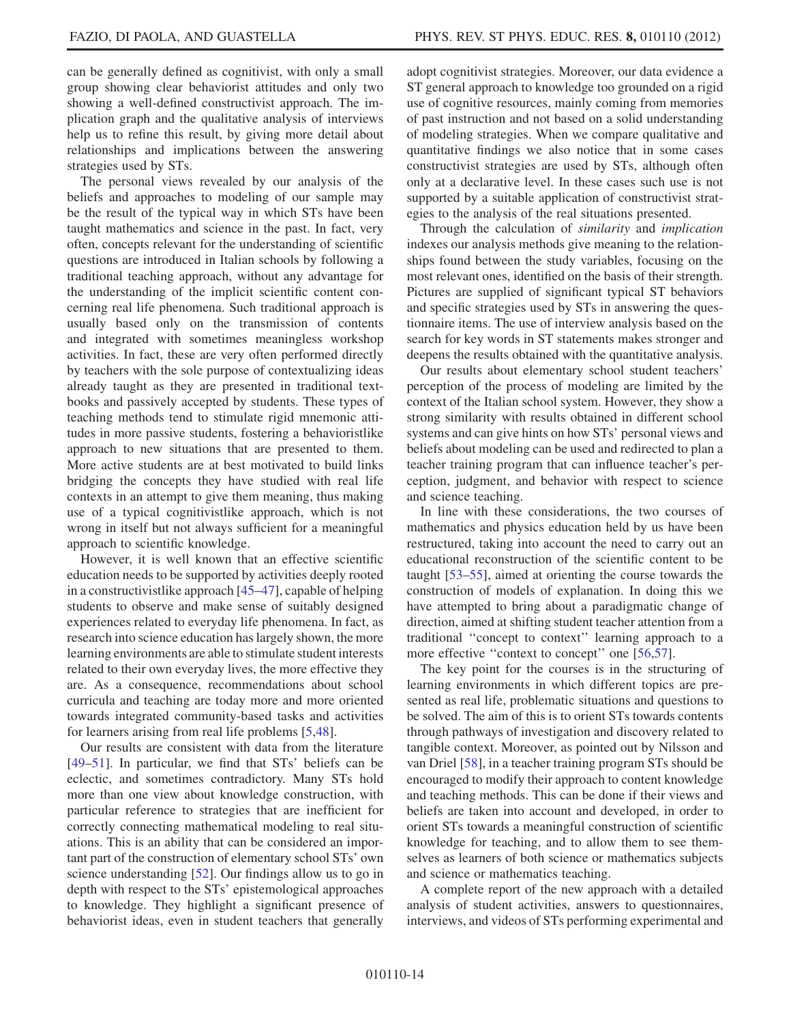can be generally defined as cognitivist, with only a small group showing clear behaviorist attitudes and only two showing a well-defined constructivist approach. The implication graph and the qualitative analysis of interviews help us to refine this result, by giving more detail about relationships and implications between the answering strategies used by STs.

The personal views revealed by our analysis of the beliefs and approaches to modeling of our sample may be the result of the typical way in which STs have been taught mathematics and science in the past. In fact, very often, concepts relevant for the understanding of scientific questions are introduced in Italian schools by following a traditional teaching approach, without any advantage for the understanding of the implicit scientific content concerning real life phenomena. Such traditional approach is usually based only on the transmission of contents and integrated with sometimes meaningless workshop activities. In fact, these are very often performed directly by teachers with the sole purpose of contextualizing ideas already taught as they are presented in traditional textbooks and passively accepted by students. These types of teaching methods tend to stimulate rigid mnemonic attitudes in more passive students, fostering a behavioristlike approach to new situations that are presented to them. More active students are at best motivated to build links bridging the concepts they have studied with real life contexts in an attempt to give them meaning, thus making use of a typical cognitivistlike approach, which is not wrong in itself but not always sufficient for a meaningful approach to scientific knowledge.

However, it is well known that an effective scientific education needs to be supported by activities deeply rooted in a constructivistlike approach [[45](#page-17-6)[–47\]](#page-17-7), capable of helping students to observe and make sense of suitably designed experiences related to everyday life phenomena. In fact, as research into science education has largely shown, the more learning environments are able to stimulate student interests related to their own everyday lives, the more effective they are. As a consequence, recommendations about school curricula and teaching are today more and more oriented towards integrated community-based tasks and activities for learners arising from real life problems [[5](#page-16-3),[48](#page-17-8)].

Our results are consistent with data from the literature [\[49–](#page-17-9)[51\]](#page-17-10). In particular, we find that STs' beliefs can be eclectic, and sometimes contradictory. Many STs hold more than one view about knowledge construction, with particular reference to strategies that are inefficient for correctly connecting mathematical modeling to real situations. This is an ability that can be considered an important part of the construction of elementary school STs' own science understanding [\[52\]](#page-17-11). Our findings allow us to go in depth with respect to the STs' epistemological approaches to knowledge. They highlight a significant presence of behaviorist ideas, even in student teachers that generally

adopt cognitivist strategies. Moreover, our data evidence a ST general approach to knowledge too grounded on a rigid use of cognitive resources, mainly coming from memories of past instruction and not based on a solid understanding of modeling strategies. When we compare qualitative and quantitative findings we also notice that in some cases constructivist strategies are used by STs, although often only at a declarative level. In these cases such use is not supported by a suitable application of constructivist strategies to the analysis of the real situations presented.

Through the calculation of similarity and implication indexes our analysis methods give meaning to the relationships found between the study variables, focusing on the most relevant ones, identified on the basis of their strength. Pictures are supplied of significant typical ST behaviors and specific strategies used by STs in answering the questionnaire items. The use of interview analysis based on the search for key words in ST statements makes stronger and deepens the results obtained with the quantitative analysis.

Our results about elementary school student teachers' perception of the process of modeling are limited by the context of the Italian school system. However, they show a strong similarity with results obtained in different school systems and can give hints on how STs' personal views and beliefs about modeling can be used and redirected to plan a teacher training program that can influence teacher's perception, judgment, and behavior with respect to science and science teaching.

In line with these considerations, the two courses of mathematics and physics education held by us have been restructured, taking into account the need to carry out an educational reconstruction of the scientific content to be taught [[53](#page-17-12)–[55](#page-17-13)], aimed at orienting the course towards the construction of models of explanation. In doing this we have attempted to bring about a paradigmatic change of direction, aimed at shifting student teacher attention from a traditional ''concept to context'' learning approach to a more effective "context to concept" one [[56](#page-17-14),[57](#page-17-15)].

The key point for the courses is in the structuring of learning environments in which different topics are presented as real life, problematic situations and questions to be solved. The aim of this is to orient STs towards contents through pathways of investigation and discovery related to tangible context. Moreover, as pointed out by Nilsson and van Driel [[58](#page-17-16)], in a teacher training program STs should be encouraged to modify their approach to content knowledge and teaching methods. This can be done if their views and beliefs are taken into account and developed, in order to orient STs towards a meaningful construction of scientific knowledge for teaching, and to allow them to see themselves as learners of both science or mathematics subjects and science or mathematics teaching.

A complete report of the new approach with a detailed analysis of student activities, answers to questionnaires, interviews, and videos of STs performing experimental and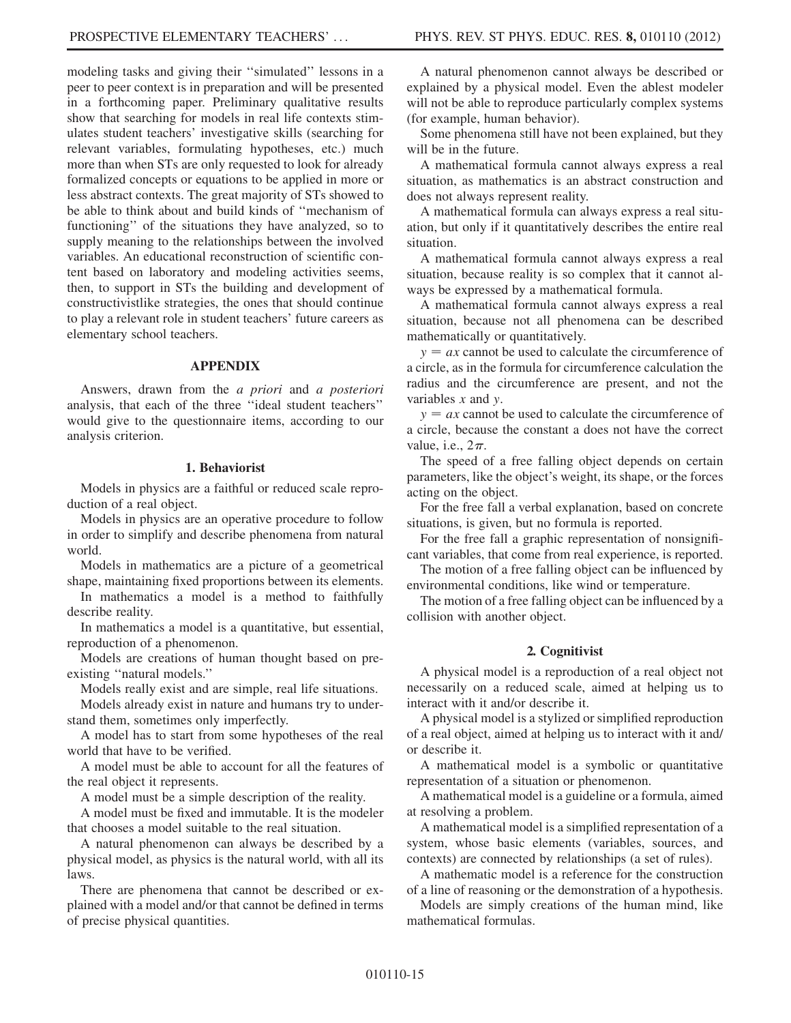modeling tasks and giving their ''simulated'' lessons in a peer to peer context is in preparation and will be presented in a forthcoming paper. Preliminary qualitative results show that searching for models in real life contexts stimulates student teachers' investigative skills (searching for relevant variables, formulating hypotheses, etc.) much more than when STs are only requested to look for already formalized concepts or equations to be applied in more or less abstract contexts. The great majority of STs showed to be able to think about and build kinds of ''mechanism of functioning'' of the situations they have analyzed, so to supply meaning to the relationships between the involved variables. An educational reconstruction of scientific content based on laboratory and modeling activities seems, then, to support in STs the building and development of constructivistlike strategies, the ones that should continue to play a relevant role in student teachers' future careers as elementary school teachers.

## APPENDIX

Answers, drawn from the a priori and a posteriori analysis, that each of the three ''ideal student teachers'' would give to the questionnaire items, according to our analysis criterion.

# 1. Behaviorist

Models in physics are a faithful or reduced scale reproduction of a real object.

Models in physics are an operative procedure to follow in order to simplify and describe phenomena from natural world.

Models in mathematics are a picture of a geometrical shape, maintaining fixed proportions between its elements.

In mathematics a model is a method to faithfully describe reality.

In mathematics a model is a quantitative, but essential, reproduction of a phenomenon.

Models are creations of human thought based on preexisting ''natural models.''

Models really exist and are simple, real life situations.

Models already exist in nature and humans try to understand them, sometimes only imperfectly.

A model has to start from some hypotheses of the real world that have to be verified.

A model must be able to account for all the features of the real object it represents.

A model must be a simple description of the reality.

A model must be fixed and immutable. It is the modeler that chooses a model suitable to the real situation.

A natural phenomenon can always be described by a physical model, as physics is the natural world, with all its laws.

There are phenomena that cannot be described or explained with a model and/or that cannot be defined in terms of precise physical quantities.

A natural phenomenon cannot always be described or explained by a physical model. Even the ablest modeler will not be able to reproduce particularly complex systems (for example, human behavior).

Some phenomena still have not been explained, but they will be in the future.

A mathematical formula cannot always express a real situation, as mathematics is an abstract construction and does not always represent reality.

A mathematical formula can always express a real situation, but only if it quantitatively describes the entire real situation.

A mathematical formula cannot always express a real situation, because reality is so complex that it cannot always be expressed by a mathematical formula.

A mathematical formula cannot always express a real situation, because not all phenomena can be described mathematically or quantitatively.

 $y = ax$  cannot be used to calculate the circumference of a circle, as in the formula for circumference calculation the radius and the circumference are present, and not the variables  $x$  and  $y$ .

 $y = ax$  cannot be used to calculate the circumference of a circle, because the constant a does not have the correct value, i.e.,  $2\pi$ .

The speed of a free falling object depends on certain parameters, like the object's weight, its shape, or the forces acting on the object.

For the free fall a verbal explanation, based on concrete situations, is given, but no formula is reported.

For the free fall a graphic representation of nonsignificant variables, that come from real experience, is reported.

The motion of a free falling object can be influenced by environmental conditions, like wind or temperature.

The motion of a free falling object can be influenced by a collision with another object.

#### 2. Cognitivist

A physical model is a reproduction of a real object not necessarily on a reduced scale, aimed at helping us to interact with it and/or describe it.

A physical model is a stylized or simplified reproduction of a real object, aimed at helping us to interact with it and/ or describe it.

A mathematical model is a symbolic or quantitative representation of a situation or phenomenon.

A mathematical model is a guideline or a formula, aimed at resolving a problem.

A mathematical model is a simplified representation of a system, whose basic elements (variables, sources, and contexts) are connected by relationships (a set of rules).

A mathematic model is a reference for the construction of a line of reasoning or the demonstration of a hypothesis.

Models are simply creations of the human mind, like mathematical formulas.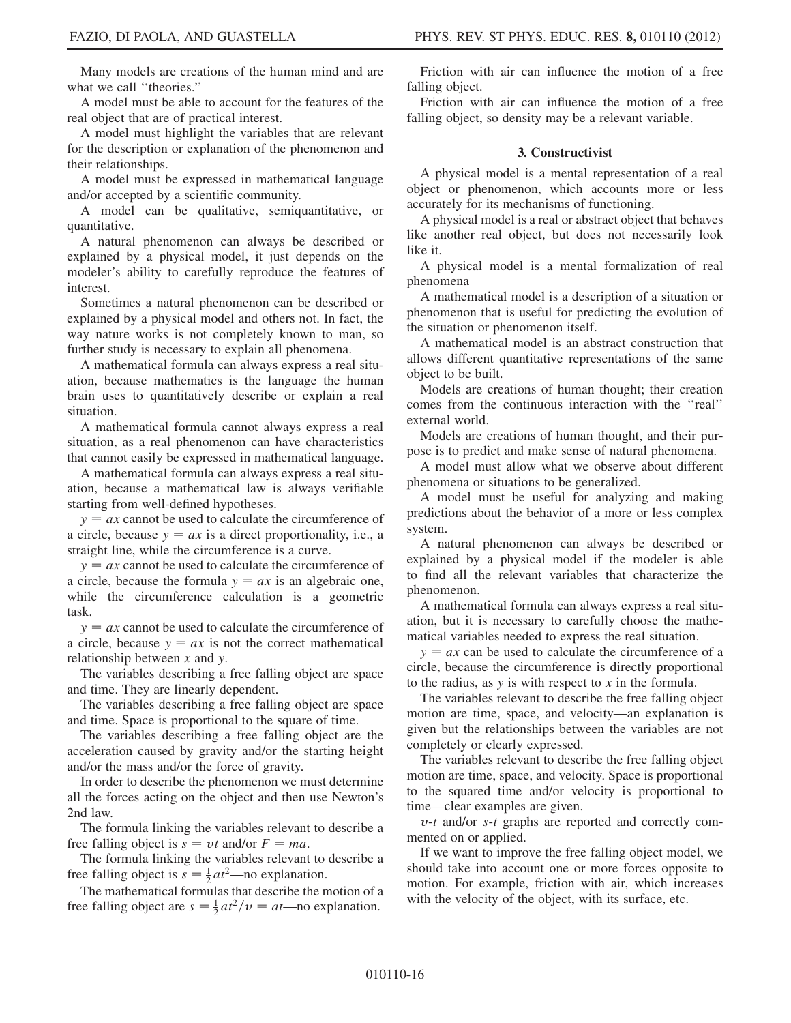Many models are creations of the human mind and are what we call "theories."

A model must be able to account for the features of the real object that are of practical interest.

A model must highlight the variables that are relevant for the description or explanation of the phenomenon and their relationships.

A model must be expressed in mathematical language and/or accepted by a scientific community.

A model can be qualitative, semiquantitative, or quantitative.

A natural phenomenon can always be described or explained by a physical model, it just depends on the modeler's ability to carefully reproduce the features of interest.

Sometimes a natural phenomenon can be described or explained by a physical model and others not. In fact, the way nature works is not completely known to man, so further study is necessary to explain all phenomena.

A mathematical formula can always express a real situation, because mathematics is the language the human brain uses to quantitatively describe or explain a real situation.

A mathematical formula cannot always express a real situation, as a real phenomenon can have characteristics that cannot easily be expressed in mathematical language.

A mathematical formula can always express a real situation, because a mathematical law is always verifiable starting from well-defined hypotheses.

 $y = ax$  cannot be used to calculate the circumference of a circle, because  $y = ax$  is a direct proportionality, i.e., a straight line, while the circumference is a curve.

 $y = ax$  cannot be used to calculate the circumference of a circle, because the formula  $y = ax$  is an algebraic one, while the circumference calculation is a geometric task.

 $y = ax$  cannot be used to calculate the circumference of a circle, because  $y = ax$  is not the correct mathematical relationship between  $x$  and  $y$ .

The variables describing a free falling object are space and time. They are linearly dependent.

The variables describing a free falling object are space and time. Space is proportional to the square of time.

The variables describing a free falling object are the acceleration caused by gravity and/or the starting height and/or the mass and/or the force of gravity.

In order to describe the phenomenon we must determine all the forces acting on the object and then use Newton's 2nd law.

The formula linking the variables relevant to describe a free falling object is  $s = vt$  and/or  $F = ma$ .

The formula linking the variables relevant to describe a free falling object is  $s = \frac{1}{2}at^2$ —no explanation.<br>The mathematical formulas that describe the n

The mathematical formulas that describe the motion of a free falling object are  $s = \frac{1}{2}at^2/v = at$ —no explanation.

Friction with air can influence the motion of a free falling object.

Friction with air can influence the motion of a free falling object, so density may be a relevant variable.

### 3. Constructivist

A physical model is a mental representation of a real object or phenomenon, which accounts more or less accurately for its mechanisms of functioning.

A physical model is a real or abstract object that behaves like another real object, but does not necessarily look like it.

A physical model is a mental formalization of real phenomena

A mathematical model is a description of a situation or phenomenon that is useful for predicting the evolution of the situation or phenomenon itself.

A mathematical model is an abstract construction that allows different quantitative representations of the same object to be built.

Models are creations of human thought; their creation comes from the continuous interaction with the ''real'' external world.

Models are creations of human thought, and their purpose is to predict and make sense of natural phenomena.

A model must allow what we observe about different phenomena or situations to be generalized.

A model must be useful for analyzing and making predictions about the behavior of a more or less complex system.

A natural phenomenon can always be described or explained by a physical model if the modeler is able to find all the relevant variables that characterize the phenomenon.

A mathematical formula can always express a real situation, but it is necessary to carefully choose the mathematical variables needed to express the real situation.

 $y = ax$  can be used to calculate the circumference of a circle, because the circumference is directly proportional to the radius, as  $y$  is with respect to  $x$  in the formula.

The variables relevant to describe the free falling object motion are time, space, and velocity—an explanation is given but the relationships between the variables are not completely or clearly expressed.

The variables relevant to describe the free falling object motion are time, space, and velocity. Space is proportional to the squared time and/or velocity is proportional to time—clear examples are given.

 $v$ -t and/or  $s$ -t graphs are reported and correctly commented on or applied.

If we want to improve the free falling object model, we should take into account one or more forces opposite to motion. For example, friction with air, which increases with the velocity of the object, with its surface, etc.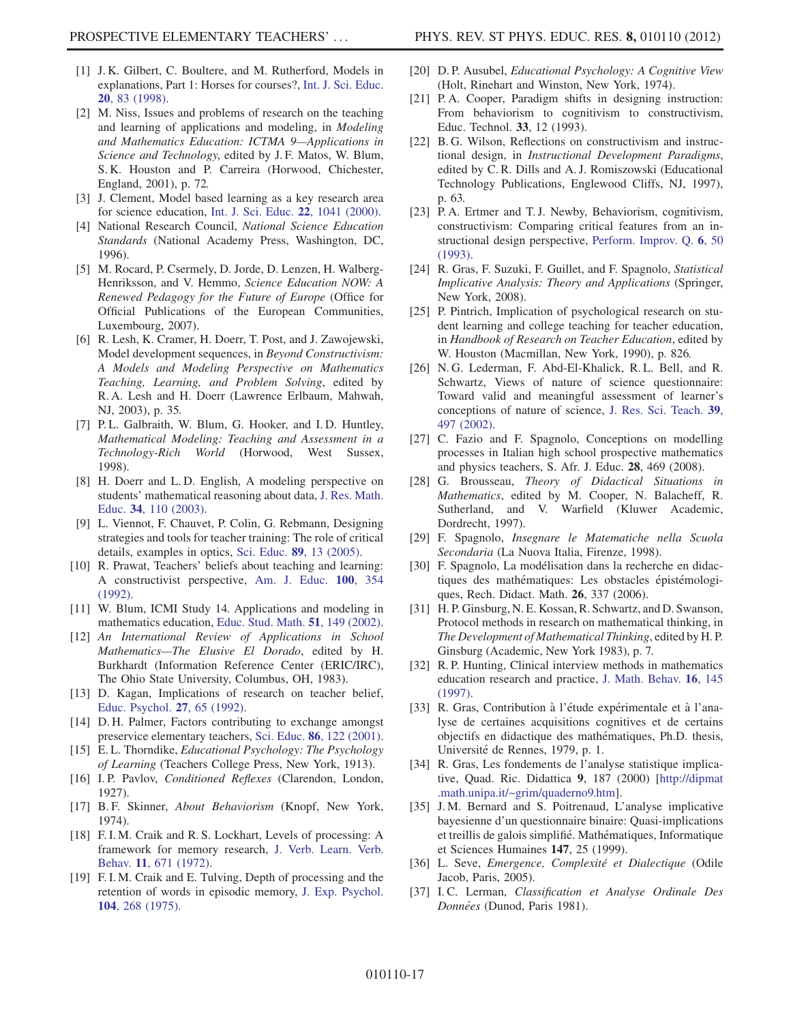- <span id="page-16-0"></span>[1] J. K. Gilbert, C. Boultere, and M. Rutherford, Models in explanations, Part 1: Horses for courses?, [Int. J. Sci. Educ.](http://dx.doi.org/10.1080/0950069980200106) 20[, 83 \(1998\)](http://dx.doi.org/10.1080/0950069980200106).
- <span id="page-16-1"></span>[2] M. Niss, Issues and problems of research on the teaching and learning of applications and modeling, in Modeling and Mathematics Education: ICTMA 9—Applications in Science and Technology, edited by J. F. Matos, W. Blum, S. K. Houston and P. Carreira (Horwood, Chichester, England, 2001), p. 72.
- <span id="page-16-2"></span>[3] J. Clement, Model based learning as a key research area for science education, [Int. J. Sci. Educ.](http://dx.doi.org/10.1080/095006900416901) 22, 1041 (2000).
- [4] National Research Council, National Science Education Standards (National Academy Press, Washington, DC, 1996).
- <span id="page-16-3"></span>[5] M. Rocard, P. Csermely, D. Jorde, D. Lenzen, H. Walberg-Henriksson, and V. Hemmo, Science Education NOW: A Renewed Pedagogy for the Future of Europe (Office for Official Publications of the European Communities, Luxembourg, 2007).
- <span id="page-16-4"></span>[6] R. Lesh, K. Cramer, H. Doerr, T. Post, and J. Zawojewski, Model development sequences, in Beyond Constructivism: A Models and Modeling Perspective on Mathematics Teaching, Learning, and Problem Solving, edited by R. A. Lesh and H. Doerr (Lawrence Erlbaum, Mahwah, NJ, 2003), p. 35.
- <span id="page-16-5"></span>[7] P.L. Galbraith, W. Blum, G. Hooker, and I.D. Huntley, Mathematical Modeling: Teaching and Assessment in a Technology-Rich World (Horwood, West Sussex, 1998).
- <span id="page-16-6"></span>[8] H. Doerr and L. D. English, A modeling perspective on students' mathematical reasoning about data, [J. Res. Math.](http://dx.doi.org/10.2307/30034902) Educ. 34[, 110 \(2003\)](http://dx.doi.org/10.2307/30034902).
- <span id="page-16-7"></span>[9] L. Viennot, F. Chauvet, P. Colin, G. Rebmann, Designing strategies and tools for teacher training: The role of critical details, examples in optics, Sci. Educ. 89[, 13 \(2005\)](http://dx.doi.org/10.1002/sce.20040).
- <span id="page-16-8"></span>[10] R. Prawat, Teachers' beliefs about teaching and learning: A constructivist perspective, [Am. J. Educ.](http://dx.doi.org/10.1086/444021) 100, 354 [\(1992\)](http://dx.doi.org/10.1086/444021).
- <span id="page-16-9"></span>[11] W. Blum, ICMI Study 14. Applications and modeling in mathematics education, [Educ. Stud. Math.](http://dx.doi.org/10.1023/A:1022435827400) 51, 149 (2002).
- <span id="page-16-10"></span>[12] An International Review of Applications in School Mathematics—The Elusive El Dorado, edited by H. Burkhardt (Information Reference Center (ERIC/IRC), The Ohio State University, Columbus, OH, 1983).
- <span id="page-16-11"></span>[13] D. Kagan, Implications of research on teacher belief, [Educ. Psychol.](http://dx.doi.org/10.1207/s15326985ep2701_6) 27, 65 (1992).
- <span id="page-16-12"></span>[14] D. H. Palmer, Factors contributing to exchange amongst preservice elementary teachers, Sci. Educ. 86[, 122 \(2001\).](http://dx.doi.org/10.1002/sce.10007)
- <span id="page-16-13"></span>[15] E.L. Thorndike, *Educational Psychology: The Psychology* of Learning (Teachers College Press, New York, 1913).
- [16] I.P. Pavlov, *Conditioned Reflexes* (Clarendon, London, 1927).
- <span id="page-16-14"></span>[17] B.F. Skinner, About Behaviorism (Knopf, New York, 1974).
- <span id="page-16-15"></span>[18] F. I. M. Craik and R. S. Lockhart, Levels of processing: A framework for memory research, [J. Verb. Learn. Verb.](http://dx.doi.org/10.1016/S0022-5371(72)80001-X) Behav. 11[, 671 \(1972\)](http://dx.doi.org/10.1016/S0022-5371(72)80001-X).
- <span id="page-16-16"></span>[19] F. I. M. Craik and E. Tulving, Depth of processing and the retention of words in episodic memory, [J. Exp. Psychol.](http://dx.doi.org/10.1037/0096-3445.104.3.268) 104[, 268 \(1975\).](http://dx.doi.org/10.1037/0096-3445.104.3.268)
- <span id="page-16-17"></span>[20] D. P. Ausubel, Educational Psychology: A Cognitive View (Holt, Rinehart and Winston, New York, 1974).
- <span id="page-16-18"></span>[21] P.A. Cooper, Paradigm shifts in designing instruction: From behaviorism to cognitivism to constructivism, Educ. Technol. 33, 12 (1993).
- <span id="page-16-19"></span>[22] B. G. Wilson, Reflections on constructivism and instructional design, in Instructional Development Paradigms, edited by C. R. Dills and A. J. Romiszowski (Educational Technology Publications, Englewood Cliffs, NJ, 1997), p. 63.
- <span id="page-16-20"></span>[23] P. A. Ertmer and T. J. Newby, Behaviorism, cognitivism, constructivism: Comparing critical features from an instructional design perspective, [Perform. Improv. Q.](http://dx.doi.org/10.1111/j.1937-8327.1993.tb00605.x) 6, 50 [\(1993\)](http://dx.doi.org/10.1111/j.1937-8327.1993.tb00605.x).
- <span id="page-16-21"></span>[24] R. Gras, F. Suzuki, F. Guillet, and F. Spagnolo, Statistical Implicative Analysis: Theory and Applications (Springer, New York, 2008).
- <span id="page-16-22"></span>[25] P. Pintrich, Implication of psychological research on student learning and college teaching for teacher education, in Handbook of Research on Teacher Education, edited by W. Houston (Macmillan, New York, 1990), p. 826.
- <span id="page-16-23"></span>[26] N. G. Lederman, F. Abd-El-Khalick, R. L. Bell, and R. Schwartz, Views of nature of science questionnaire: Toward valid and meaningful assessment of learner's conceptions of nature of science, [J. Res. Sci. Teach.](http://dx.doi.org/10.1002/tea.10034) 39, [497 \(2002\)](http://dx.doi.org/10.1002/tea.10034).
- <span id="page-16-24"></span>[27] C. Fazio and F. Spagnolo, Conceptions on modelling processes in Italian high school prospective mathematics and physics teachers, S. Afr. J. Educ. 28, 469 (2008).
- <span id="page-16-25"></span>[28] G. Brousseau, Theory of Didactical Situations in Mathematics, edited by M. Cooper, N. Balacheff, R. Sutherland, and V. Warfield (Kluwer Academic, Dordrecht, 1997).
- <span id="page-16-26"></span>[29] F. Spagnolo, Insegnare le Matematiche nella Scuola Secondaria (La Nuova Italia, Firenze, 1998).
- <span id="page-16-27"></span>[30] F. Spagnolo, La modélisation dans la recherche en didactiques des mathématiques: Les obstacles épistémologiques, Rech. Didact. Math. 26, 337 (2006).
- <span id="page-16-28"></span>[31] H. P. Ginsburg, N. E. Kossan, R. Schwartz, and D. Swanson, Protocol methods in research on mathematical thinking, in The Development of Mathematical Thinking, edited by H. P. Ginsburg (Academic, New York 1983), p. 7.
- <span id="page-16-29"></span>[32] R. P. Hunting, Clinical interview methods in mathematics education research and practice, [J. Math. Behav.](http://dx.doi.org/10.1016/S0732-3123(97)90023-7) 16, 145 [\(1997\)](http://dx.doi.org/10.1016/S0732-3123(97)90023-7).
- <span id="page-16-30"></span>[33] R. Gras, Contribution à l'étude expérimentale et à l'analyse de certaines acquisitions cognitives et de certains objectifs en didactique des mathe´matiques, Ph.D. thesis, Université de Rennes, 1979, p. 1.
- <span id="page-16-31"></span>[34] R. Gras, Les fondements de l'analyse statistique implicative, Quad. Ric. Didattica 9, 187 (2000) [[http://dipmat](http://dipmat.math.unipa.it/~grim/quaderno9.htm) [.math.unipa.it/~grim/quaderno9.htm](http://dipmat.math.unipa.it/~grim/quaderno9.htm)].
- <span id="page-16-32"></span>[35] J. M. Bernard and S. Poitrenaud, L'analyse implicative bayesienne d'un questionnaire binaire: Quasi-implications et treillis de galois simplifié. Mathématiques, Informatique et Sciences Humaines 147, 25 (1999).
- <span id="page-16-33"></span>[36] L. Seve, *Emergence*, *Complexité et Dialectique* (Odile Jacob, Paris, 2005).
- <span id="page-16-34"></span>[37] I.C. Lerman, Classification et Analyse Ordinale Des Données (Dunod, Paris 1981).